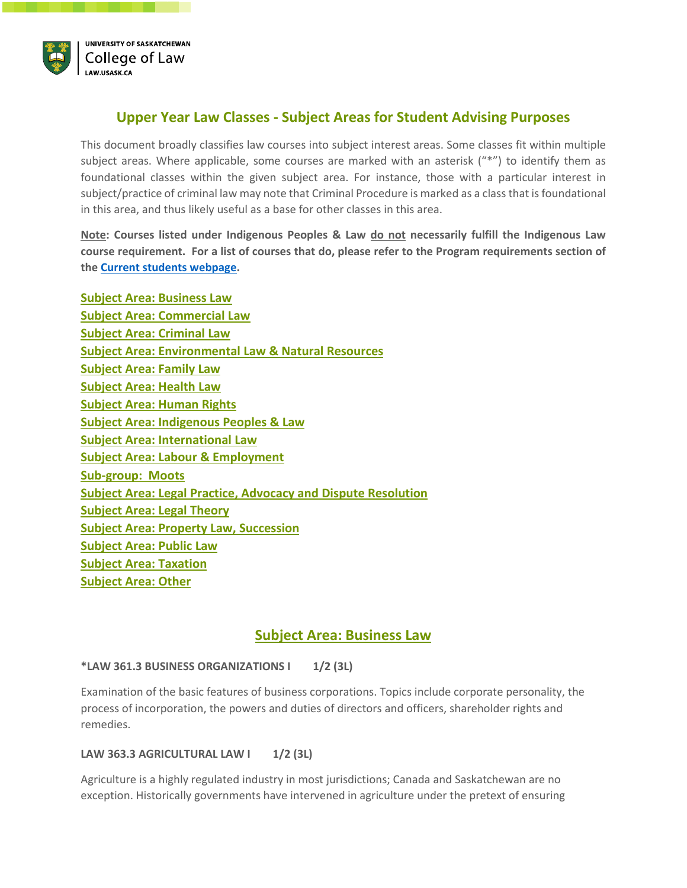

# <span id="page-0-1"></span>**Upper Year Law Classes - Subject Areas for Student Advising Purposes**

This document broadly classifies law courses into subject interest areas. Some classes fit within multiple subject areas. Where applicable, some courses are marked with an asterisk ("\*") to identify them as foundational classes within the given subject area. For instance, those with a particular interest in subject/practice of criminal law may note that Criminal Procedure is marked as a class that is foundational in this area, and thus likely useful as a base for other classes in this area.

**Note: Courses listed under Indigenous Peoples & Law do not necessarily fulfill the Indigenous Law course requirement. For a list of courses that do, please refer to the Program requirements section of th[e Current students webpage.](https://law.usask.ca/students/jd-students/current-students.php)** 

| <b>Subject Area: Business Law</b>                                    |
|----------------------------------------------------------------------|
| <b>Subject Area: Commercial Law</b>                                  |
| <b>Subject Area: Criminal Law</b>                                    |
| <b>Subject Area: Environmental Law &amp; Natural Resources</b>       |
| <b>Subject Area: Family Law</b>                                      |
| <b>Subject Area: Health Law</b>                                      |
| <b>Subject Area: Human Rights</b>                                    |
| <b>Subject Area: Indigenous Peoples &amp; Law</b>                    |
| <b>Subject Area: International Law</b>                               |
| <b>Subject Area: Labour &amp; Employment</b>                         |
| <b>Sub-group: Moots</b>                                              |
| <b>Subject Area: Legal Practice, Advocacy and Dispute Resolution</b> |
| <b>Subject Area: Legal Theory</b>                                    |
| <b>Subject Area: Property Law, Succession</b>                        |
| <b>Subject Area: Public Law</b>                                      |
| <b>Subject Area: Taxation</b>                                        |
| <b>Subject Area: Other</b>                                           |

# **Subject Area: Business Law**

## <span id="page-0-0"></span>**\*LAW 361.3 BUSINESS ORGANIZATIONS I 1/2 (3L)**

Examination of the basic features of business corporations. Topics include corporate personality, the process of incorporation, the powers and duties of directors and officers, shareholder rights and remedies.

## **LAW 363.3 AGRICULTURAL LAW | 1/2 (3L)**

Agriculture is a highly regulated industry in most jurisdictions; Canada and Saskatchewan are no exception. Historically governments have intervened in agriculture under the pretext of ensuring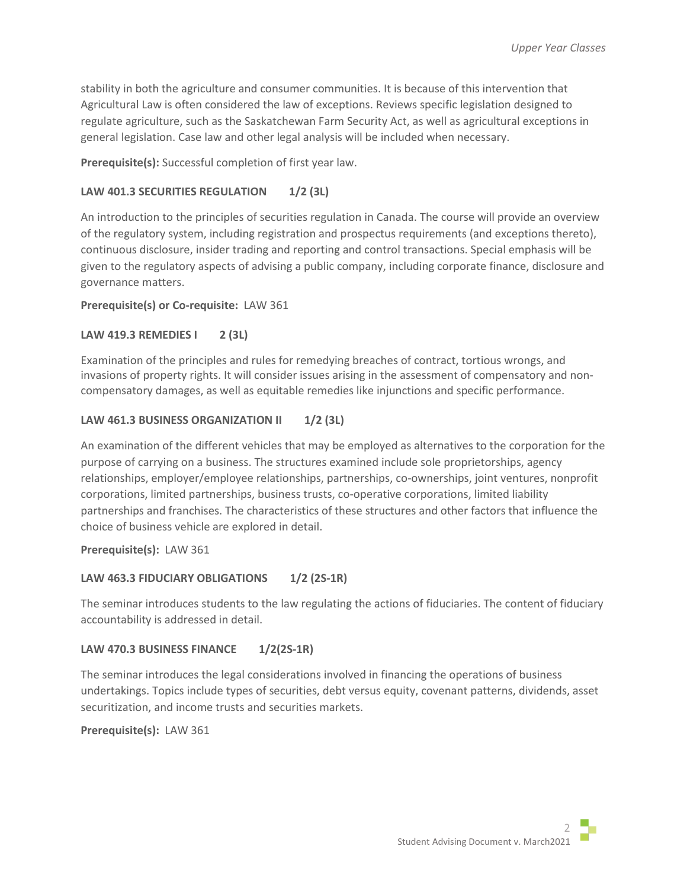stability in both the agriculture and consumer communities. It is because of this intervention that Agricultural Law is often considered the law of exceptions. Reviews specific legislation designed to regulate agriculture, such as the Saskatchewan Farm Security Act, as well as agricultural exceptions in general legislation. Case law and other legal analysis will be included when necessary.

**Prerequisite(s):** Successful completion of first year law.

## LAW 401.3 SECURITIES REGULATION 1/2 (3L)

An introduction to the principles of securities regulation in Canada. The course will provide an overview of the regulatory system, including registration and prospectus requirements (and exceptions thereto), continuous disclosure, insider trading and reporting and control transactions. Special emphasis will be given to the regulatory aspects of advising a public company, including corporate finance, disclosure and governance matters.

**Prerequisite(s) or Co-requisite:** LAW 361

## **LAW 419.3 REMEDIES I 2 (3L)**

Examination of the principles and rules for remedying breaches of contract, tortious wrongs, and invasions of property rights. It will consider issues arising in the assessment of compensatory and noncompensatory damages, as well as equitable remedies like injunctions and specific performance.

## LAW 461.3 BUSINESS ORGANIZATION II 1/2 (3L)

An examination of the different vehicles that may be employed as alternatives to the corporation for the purpose of carrying on a business. The structures examined include sole proprietorships, agency relationships, employer/employee relationships, partnerships, co-ownerships, joint ventures, nonprofit corporations, limited partnerships, business trusts, co-operative corporations, limited liability partnerships and franchises. The characteristics of these structures and other factors that influence the choice of business vehicle are explored in detail.

**Prerequisite(s):** LAW 361

# **LAW 463.3 FIDUCIARY OBLIGATIONS 1/2 (2S-1R)**

The seminar introduces students to the law regulating the actions of fiduciaries. The content of fiduciary accountability is addressed in detail.

## **LAW 470.3 BUSINESS FINANCE 1/2(2S-1R)**

The seminar introduces the legal considerations involved in financing the operations of business undertakings. Topics include types of securities, debt versus equity, covenant patterns, dividends, asset securitization, and income trusts and securities markets.

**Prerequisite(s):** LAW 361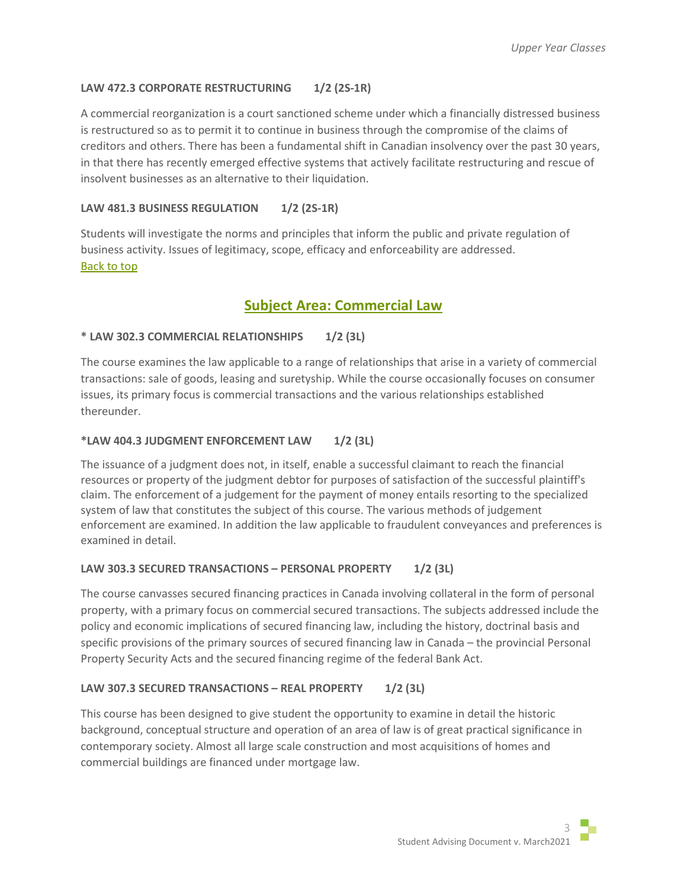## **LAW 472.3 CORPORATE RESTRUCTURING 1/2 (2S-1R)**

A commercial reorganization is a court sanctioned scheme under which a financially distressed business is restructured so as to permit it to continue in business through the compromise of the claims of creditors and others. There has been a fundamental shift in Canadian insolvency over the past 30 years, in that there has recently emerged effective systems that actively facilitate restructuring and rescue of insolvent businesses as an alternative to their liquidation.

## **LAW 481.3 BUSINESS REGULATION 1/2 (2S-1R)**

Students will investigate the norms and principles that inform the public and private regulation of business activity. Issues of legitimacy, scope, efficacy and enforceability are addressed. [Back to top](#page-0-1)

# **Subject Area: Commercial Law**

## <span id="page-2-0"></span>**\* LAW 302.3 COMMERCIAL RELATIONSHIPS 1/2 (3L)**

The course examines the law applicable to a range of relationships that arise in a variety of commercial transactions: sale of goods, leasing and suretyship. While the course occasionally focuses on consumer issues, its primary focus is commercial transactions and the various relationships established thereunder.

## **\*LAW 404.3 JUDGMENT ENFORCEMENT LAW 1/2 (3L)**

The issuance of a judgment does not, in itself, enable a successful claimant to reach the financial resources or property of the judgment debtor for purposes of satisfaction of the successful plaintiff's claim. The enforcement of a judgement for the payment of money entails resorting to the specialized system of law that constitutes the subject of this course. The various methods of judgement enforcement are examined. In addition the law applicable to fraudulent conveyances and preferences is examined in detail.

## LAW 303.3 SECURED TRANSACTIONS - PERSONAL PROPERTY 1/2 (3L)

The course canvasses secured financing practices in Canada involving collateral in the form of personal property, with a primary focus on commercial secured transactions. The subjects addressed include the policy and economic implications of secured financing law, including the history, doctrinal basis and specific provisions of the primary sources of secured financing law in Canada – the provincial Personal Property Security Acts and the secured financing regime of the federal Bank Act.

## LAW 307.3 SECURED TRANSACTIONS - REAL PROPERTY 1/2 (3L)

This course has been designed to give student the opportunity to examine in detail the historic background, conceptual structure and operation of an area of law is of great practical significance in contemporary society. Almost all large scale construction and most acquisitions of homes and commercial buildings are financed under mortgage law.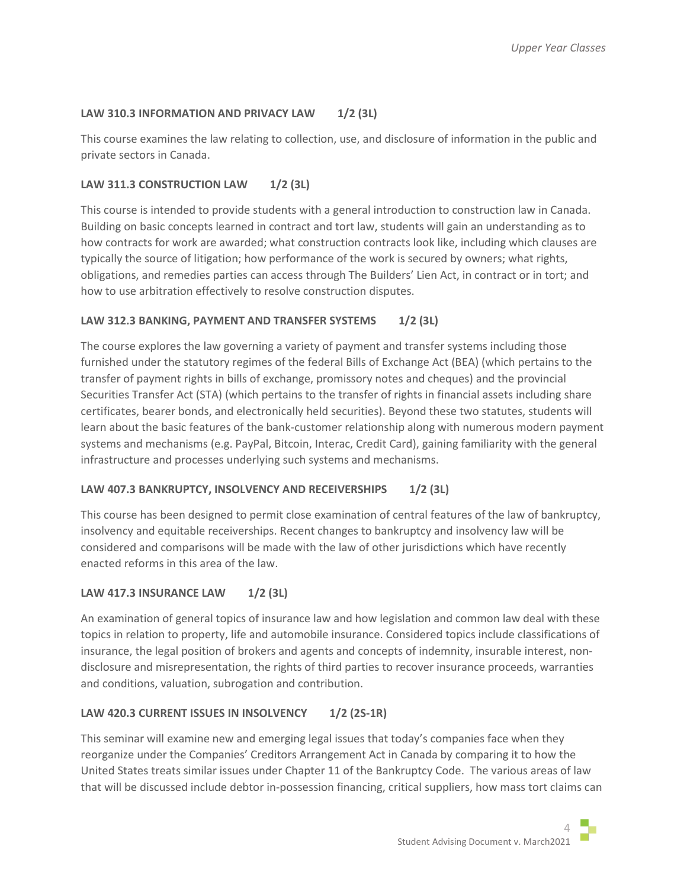## LAW 310.3 INFORMATION AND PRIVACY LAW 1/2 (3L)

This course examines the law relating to collection, use, and disclosure of information in the public and private sectors in Canada.

## **LAW 311.3 CONSTRUCTION LAW 1/2 (3L)**

This course is intended to provide students with a general introduction to construction law in Canada. Building on basic concepts learned in contract and tort law, students will gain an understanding as to how contracts for work are awarded; what construction contracts look like, including which clauses are typically the source of litigation; how performance of the work is secured by owners; what rights, obligations, and remedies parties can access through The Builders' Lien Act, in contract or in tort; and how to use arbitration effectively to resolve construction disputes.

## **LAW 312.3 BANKING, PAYMENT AND TRANSFER SYSTEMS 1/2 (3L)**

The course explores the law governing a variety of payment and transfer systems including those furnished under the statutory regimes of the federal Bills of Exchange Act (BEA) (which pertains to the transfer of payment rights in bills of exchange, promissory notes and cheques) and the provincial Securities Transfer Act (STA) (which pertains to the transfer of rights in financial assets including share certificates, bearer bonds, and electronically held securities). Beyond these two statutes, students will learn about the basic features of the bank-customer relationship along with numerous modern payment systems and mechanisms (e.g. PayPal, Bitcoin, Interac, Credit Card), gaining familiarity with the general infrastructure and processes underlying such systems and mechanisms.

## LAW 407.3 BANKRUPTCY, INSOLVENCY AND RECEIVERSHIPS 1/2 (3L)

This course has been designed to permit close examination of central features of the law of bankruptcy, insolvency and equitable receiverships. Recent changes to bankruptcy and insolvency law will be considered and comparisons will be made with the law of other jurisdictions which have recently enacted reforms in this area of the law.

## **LAW 417.3 INSURANCE LAW 1/2 (3L)**

An examination of general topics of insurance law and how legislation and common law deal with these topics in relation to property, life and automobile insurance. Considered topics include classifications of insurance, the legal position of brokers and agents and concepts of indemnity, insurable interest, nondisclosure and misrepresentation, the rights of third parties to recover insurance proceeds, warranties and conditions, valuation, subrogation and contribution.

## **LAW 420.3 CURRENT ISSUES IN INSOLVENCY 1/2 (2S-1R)**

This seminar will examine new and emerging legal issues that today's companies face when they reorganize under the Companies' Creditors Arrangement Act in Canada by comparing it to how the United States treats similar issues under Chapter 11 of the Bankruptcy Code. The various areas of law that will be discussed include debtor in-possession financing, critical suppliers, how mass tort claims can

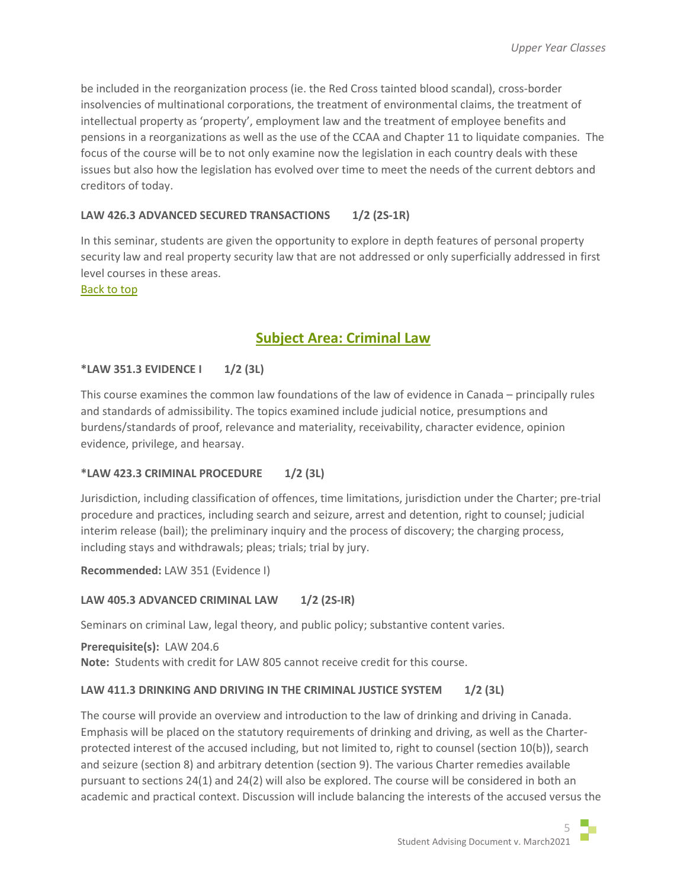be included in the reorganization process (ie. the Red Cross tainted blood scandal), cross-border insolvencies of multinational corporations, the treatment of environmental claims, the treatment of intellectual property as 'property', employment law and the treatment of employee benefits and pensions in a reorganizations as well as the use of the CCAA and Chapter 11 to liquidate companies. The focus of the course will be to not only examine now the legislation in each country deals with these issues but also how the legislation has evolved over time to meet the needs of the current debtors and creditors of today.

# **LAW 426.3 ADVANCED SECURED TRANSACTIONS 1/2 (2S-1R)**

In this seminar, students are given the opportunity to explore in depth features of personal property security law and real property security law that are not addressed or only superficially addressed in first level courses in these areas.

<span id="page-4-0"></span>[Back to top](#page-0-1)

# **Subject Area: Criminal Law**

## **\*LAW 351.3 EVIDENCE I 1/2 (3L)**

This course examines the common law foundations of the law of evidence in Canada – principally rules and standards of admissibility. The topics examined include judicial notice, presumptions and burdens/standards of proof, relevance and materiality, receivability, character evidence, opinion evidence, privilege, and hearsay.

## **\*LAW 423.3 CRIMINAL PROCEDURE 1/2 (3L)**

Jurisdiction, including classification of offences, time limitations, jurisdiction under the Charter; pre-trial procedure and practices, including search and seizure, arrest and detention, right to counsel; judicial interim release (bail); the preliminary inquiry and the process of discovery; the charging process, including stays and withdrawals; pleas; trials; trial by jury.

**Recommended:** LAW 351 (Evidence I)

## **LAW 405.3 ADVANCED CRIMINAL LAW 1/2 (2S-IR)**

Seminars on criminal Law, legal theory, and public policy; substantive content varies.

**Prerequisite(s):** LAW 204.6 **Note:** Students with credit for LAW 805 cannot receive credit for this course.

## LAW 411.3 DRINKING AND DRIVING IN THE CRIMINAL JUSTICE SYSTEM 1/2 (3L)

The course will provide an overview and introduction to the law of drinking and driving in Canada. Emphasis will be placed on the statutory requirements of drinking and driving, as well as the Charterprotected interest of the accused including, but not limited to, right to counsel (section 10(b)), search and seizure (section 8) and arbitrary detention (section 9). The various Charter remedies available pursuant to sections 24(1) and 24(2) will also be explored. The course will be considered in both an academic and practical context. Discussion will include balancing the interests of the accused versus the

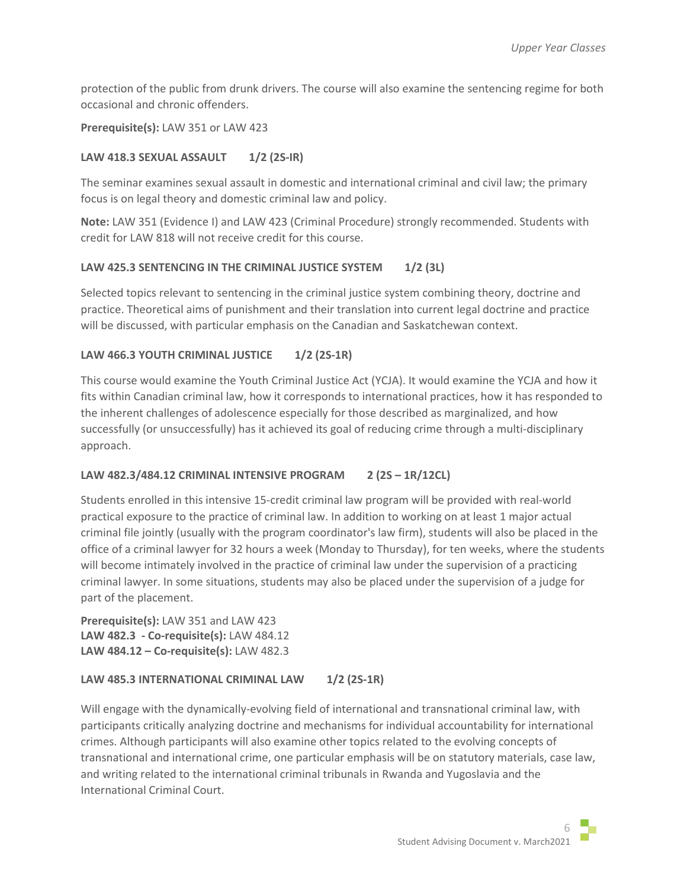protection of the public from drunk drivers. The course will also examine the sentencing regime for both occasional and chronic offenders.

## **Prerequisite(s):** LAW 351 or LAW 423

## **LAW 418.3 SEXUAL ASSAULT 1/2 (2S-IR)**

The seminar examines sexual assault in domestic and international criminal and civil law; the primary focus is on legal theory and domestic criminal law and policy.

**Note:** LAW 351 (Evidence I) and LAW 423 (Criminal Procedure) strongly recommended. Students with credit for LAW 818 will not receive credit for this course.

## **LAW 425.3 SENTENCING IN THE CRIMINAL JUSTICE SYSTEM 1/2 (3L)**

Selected topics relevant to sentencing in the criminal justice system combining theory, doctrine and practice. Theoretical aims of punishment and their translation into current legal doctrine and practice will be discussed, with particular emphasis on the Canadian and Saskatchewan context.

## LAW 466.3 YOUTH CRIMINAL JUSTICE 1/2 (2S-1R)

This course would examine the Youth Criminal Justice Act (YCJA). It would examine the YCJA and how it fits within Canadian criminal law, how it corresponds to international practices, how it has responded to the inherent challenges of adolescence especially for those described as marginalized, and how successfully (or unsuccessfully) has it achieved its goal of reducing crime through a multi-disciplinary approach.

# **LAW 482.3/484.12 CRIMINAL INTENSIVE PROGRAM 2 (2S – 1R/12CL)**

Students enrolled in this intensive 15-credit criminal law program will be provided with real-world practical exposure to the practice of criminal law. In addition to working on at least 1 major actual criminal file jointly (usually with the program coordinator's law firm), students will also be placed in the office of a criminal lawyer for 32 hours a week (Monday to Thursday), for ten weeks, where the students will become intimately involved in the practice of criminal law under the supervision of a practicing criminal lawyer. In some situations, students may also be placed under the supervision of a judge for part of the placement.

**Prerequisite(s):** LAW 351 and LAW 423 **LAW 482.3 - Co-requisite(s):** LAW 484.12 **LAW 484.12 – Co-requisite(s):** LAW 482.3

## LAW 485.3 INTERNATIONAL CRIMINAL LAW 1/2 (2S-1R)

Will engage with the dynamically-evolving field of international and transnational criminal law, with participants critically analyzing doctrine and mechanisms for individual accountability for international crimes. Although participants will also examine other topics related to the evolving concepts of transnational and international crime, one particular emphasis will be on statutory materials, case law, and writing related to the international criminal tribunals in Rwanda and Yugoslavia and the International Criminal Court.

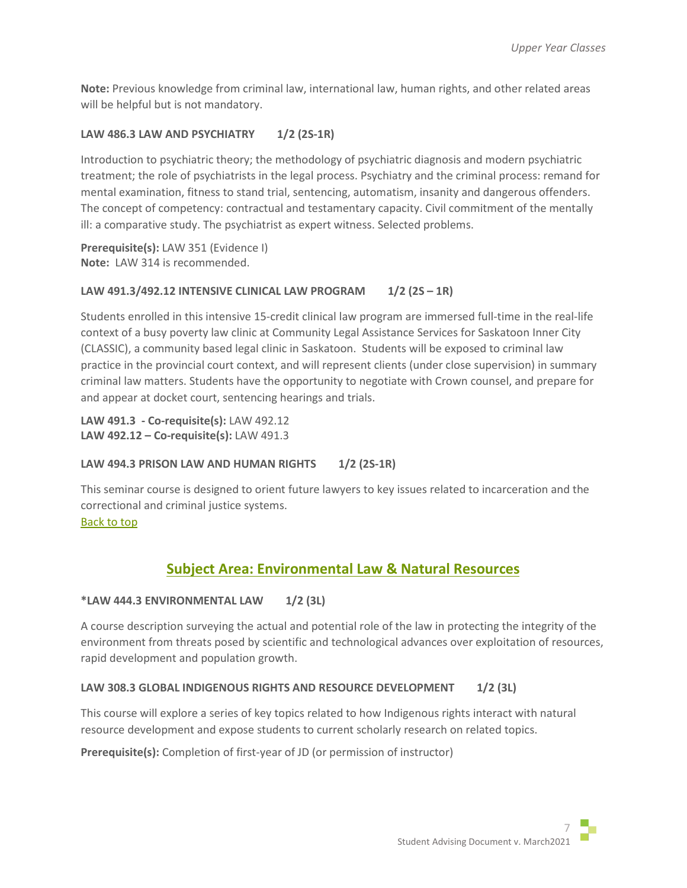**Note:** Previous knowledge from criminal law, international law, human rights, and other related areas will be helpful but is not mandatory.

# **LAW 486.3 LAW AND PSYCHIATRY 1/2 (2S-1R)**

Introduction to psychiatric theory; the methodology of psychiatric diagnosis and modern psychiatric treatment; the role of psychiatrists in the legal process. Psychiatry and the criminal process: remand for mental examination, fitness to stand trial, sentencing, automatism, insanity and dangerous offenders. The concept of competency: contractual and testamentary capacity. Civil commitment of the mentally ill: a comparative study. The psychiatrist as expert witness. Selected problems.

**Prerequisite(s):** LAW 351 (Evidence I) **Note:** LAW 314 is recommended.

## LAW 491.3/492.12 INTENSIVE CLINICAL LAW PROGRAM 1/2 (2S - 1R)

Students enrolled in this intensive 15-credit clinical law program are immersed full-time in the real-life context of a busy poverty law clinic at Community Legal Assistance Services for Saskatoon Inner City (CLASSIC), a community based legal clinic in Saskatoon. Students will be exposed to criminal law practice in the provincial court context, and will represent clients (under close supervision) in summary criminal law matters. Students have the opportunity to negotiate with Crown counsel, and prepare for and appear at docket court, sentencing hearings and trials.

**LAW 491.3 - Co-requisite(s):** LAW 492.12 **LAW 492.12 – Co-requisite(s):** LAW 491.3

## LAW 494.3 PRISON LAW AND HUMAN RIGHTS 1/2 (2S-1R)

This seminar course is designed to orient future lawyers to key issues related to incarceration and the correctional and criminal justice systems. [Back to top](#page-0-1)

# **Subject Area: Environmental Law & Natural Resources**

## <span id="page-6-0"></span>**\*LAW 444.3 ENVIRONMENTAL LAW 1/2 (3L)**

A course description surveying the actual and potential role of the law in protecting the integrity of the environment from threats posed by scientific and technological advances over exploitation of resources, rapid development and population growth.

## **LAW 308.3 GLOBAL INDIGENOUS RIGHTS AND RESOURCE DEVELOPMENT 1/2 (3L)**

This course will explore a series of key topics related to how Indigenous rights interact with natural resource development and expose students to current scholarly research on related topics.

**Prerequisite(s):** Completion of first-year of JD (or permission of instructor)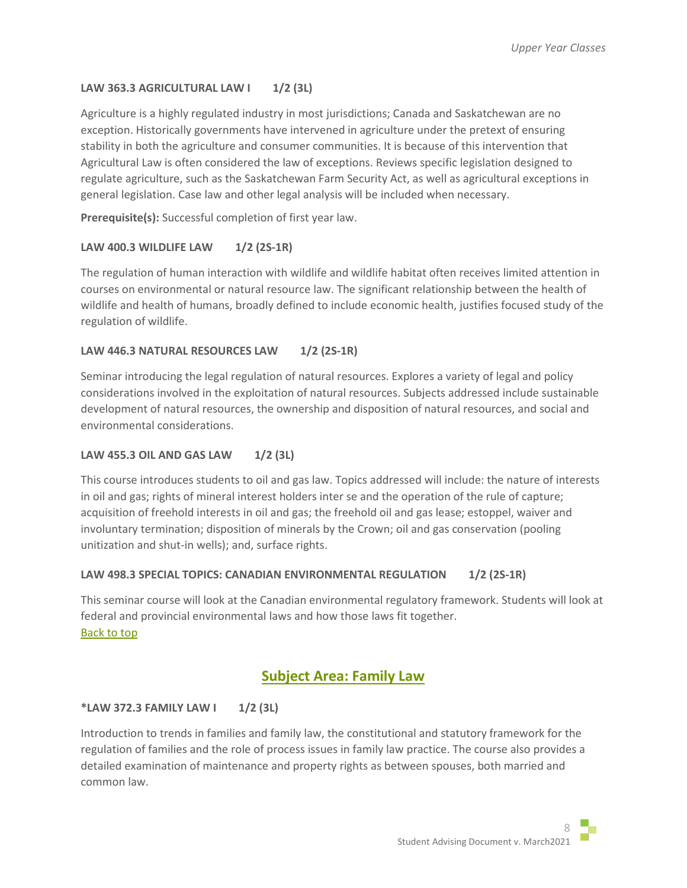# **LAW 363.3 AGRICULTURAL LAW I 1/2 (3L)**

Agriculture is a highly regulated industry in most jurisdictions; Canada and Saskatchewan are no exception. Historically governments have intervened in agriculture under the pretext of ensuring stability in both the agriculture and consumer communities. It is because of this intervention that Agricultural Law is often considered the law of exceptions. Reviews specific legislation designed to regulate agriculture, such as the Saskatchewan Farm Security Act, as well as agricultural exceptions in general legislation. Case law and other legal analysis will be included when necessary.

**Prerequisite(s):** Successful completion of first year law.

## **LAW 400.3 WILDLIFE LAW 1/2 (2S-1R)**

The regulation of human interaction with wildlife and wildlife habitat often receives limited attention in courses on environmental or natural resource law. The significant relationship between the health of wildlife and health of humans, broadly defined to include economic health, justifies focused study of the regulation of wildlife.

## **LAW 446.3 NATURAL RESOURCES LAW 1/2 (2S-1R)**

Seminar introducing the legal regulation of natural resources. Explores a variety of legal and policy considerations involved in the exploitation of natural resources. Subjects addressed include sustainable development of natural resources, the ownership and disposition of natural resources, and social and environmental considerations.

# **LAW 455.3 OIL AND GAS LAW 1/2 (3L)**

This course introduces students to oil and gas law. Topics addressed will include: the nature of interests in oil and gas; rights of mineral interest holders inter se and the operation of the rule of capture; acquisition of freehold interests in oil and gas; the freehold oil and gas lease; estoppel, waiver and involuntary termination; disposition of minerals by the Crown; oil and gas conservation (pooling unitization and shut-in wells); and, surface rights.

## **LAW 498.3 SPECIAL TOPICS: CANADIAN ENVIRONMENTAL REGULATION 1/2 (2S-1R)**

This seminar course will look at the Canadian environmental regulatory framework. Students will look at federal and provincial environmental laws and how those laws fit together. [Back to top](#page-0-1)

# **Subject Area: Family Law**

# <span id="page-7-0"></span>**\*LAW 372.3 FAMILY LAW I 1/2 (3L)**

Introduction to trends in families and family law, the constitutional and statutory framework for the regulation of families and the role of process issues in family law practice. The course also provides a detailed examination of maintenance and property rights as between spouses, both married and common law.

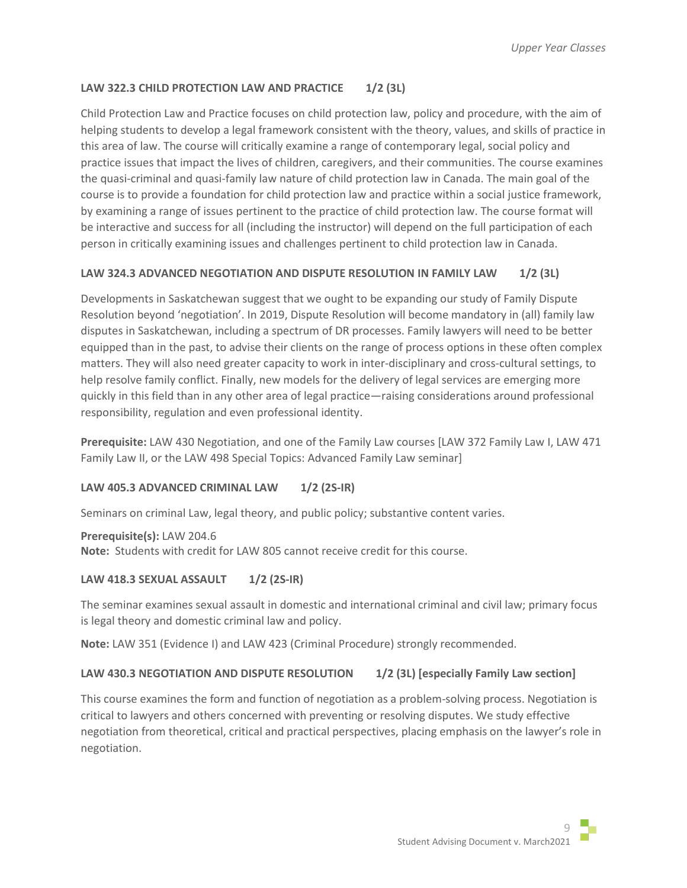# **LAW 322.3 CHILD PROTECTION LAW AND PRACTICE 1/2 (3L)**

Child Protection Law and Practice focuses on child protection law, policy and procedure, with the aim of helping students to develop a legal framework consistent with the theory, values, and skills of practice in this area of law. The course will critically examine a range of contemporary legal, social policy and practice issues that impact the lives of children, caregivers, and their communities. The course examines the quasi-criminal and quasi-family law nature of child protection law in Canada. The main goal of the course is to provide a foundation for child protection law and practice within a social justice framework, by examining a range of issues pertinent to the practice of child protection law. The course format will be interactive and success for all (including the instructor) will depend on the full participation of each person in critically examining issues and challenges pertinent to child protection law in Canada.

# **LAW 324.3 ADVANCED NEGOTIATION AND DISPUTE RESOLUTION IN FAMILY LAW 1/2 (3L)**

Developments in Saskatchewan suggest that we ought to be expanding our study of Family Dispute Resolution beyond 'negotiation'. In 2019, Dispute Resolution will become mandatory in (all) family law disputes in Saskatchewan, including a spectrum of DR processes. Family lawyers will need to be better equipped than in the past, to advise their clients on the range of process options in these often complex matters. They will also need greater capacity to work in inter-disciplinary and cross-cultural settings, to help resolve family conflict. Finally, new models for the delivery of legal services are emerging more quickly in this field than in any other area of legal practice—raising considerations around professional responsibility, regulation and even professional identity.

**Prerequisite:** LAW 430 Negotiation, and one of the Family Law courses [LAW 372 Family Law I, LAW 471 Family Law II, or the LAW 498 Special Topics: Advanced Family Law seminar]

## **LAW 405.3 ADVANCED CRIMINAL LAW 1/2 (2S-IR)**

Seminars on criminal Law, legal theory, and public policy; substantive content varies.

**Prerequisite(s):** LAW 204.6 **Note:** Students with credit for LAW 805 cannot receive credit for this course.

## **LAW 418.3 SEXUAL ASSAULT 1/2 (2S-IR)**

The seminar examines sexual assault in domestic and international criminal and civil law; primary focus is legal theory and domestic criminal law and policy.

**Note:** LAW 351 (Evidence I) and LAW 423 (Criminal Procedure) strongly recommended.

## LAW 430.3 NEGOTIATION AND DISPUTE RESOLUTION 1/2 (3L) [especially Family Law section]

This course examines the form and function of negotiation as a problem-solving process. Negotiation is critical to lawyers and others concerned with preventing or resolving disputes. We study effective negotiation from theoretical, critical and practical perspectives, placing emphasis on the lawyer's role in negotiation.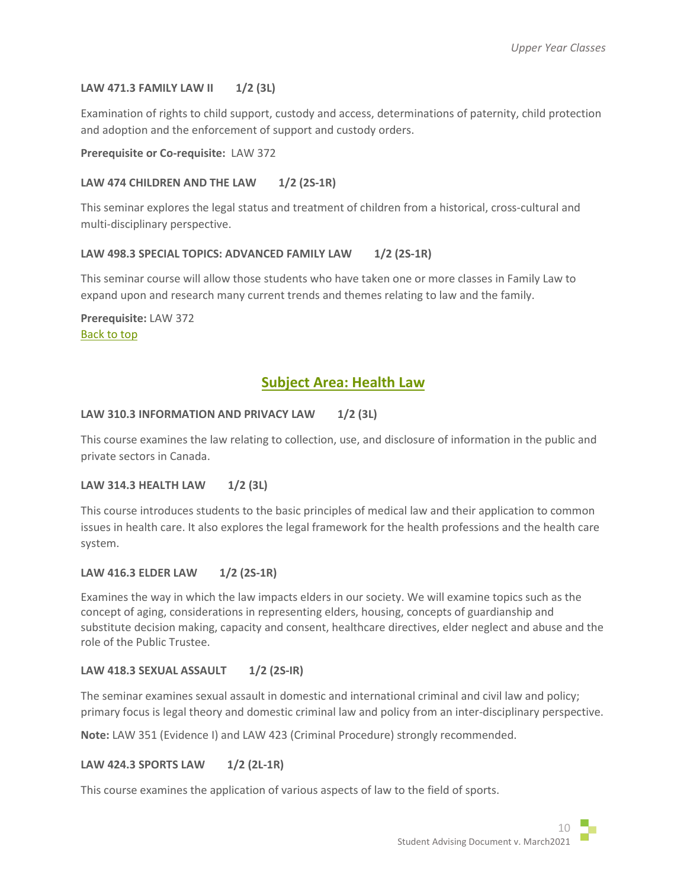## **LAW 471.3 FAMILY LAW II 1/2 (3L)**

Examination of rights to child support, custody and access, determinations of paternity, child protection and adoption and the enforcement of support and custody orders.

**Prerequisite or Co-requisite:** LAW 372

## LAW 474 CHILDREN AND THE LAW 1/2 (2S-1R)

This seminar explores the legal status and treatment of children from a historical, cross-cultural and multi-disciplinary perspective.

## LAW 498.3 SPECIAL TOPICS: ADVANCED FAMILY LAW 1/2 (2S-1R)

This seminar course will allow those students who have taken one or more classes in Family Law to expand upon and research many current trends and themes relating to law and the family.

**Prerequisite:** LAW 372 [Back to top](#page-0-1)

# **Subject Area: Health Law**

## <span id="page-9-0"></span>LAW 310.3 INFORMATION AND PRIVACY LAW 1/2 (3L)

This course examines the law relating to collection, use, and disclosure of information in the public and private sectors in Canada.

## **LAW 314.3 HEALTH LAW 1/2 (3L)**

This course introduces students to the basic principles of medical law and their application to common issues in health care. It also explores the legal framework for the health professions and the health care system.

## **LAW 416.3 ELDER LAW 1/2 (2S-1R)**

Examines the way in which the law impacts elders in our society. We will examine topics such as the concept of aging, considerations in representing elders, housing, concepts of guardianship and substitute decision making, capacity and consent, healthcare directives, elder neglect and abuse and the role of the Public Trustee.

## **LAW 418.3 SEXUAL ASSAULT 1/2 (2S-IR)**

The seminar examines sexual assault in domestic and international criminal and civil law and policy; primary focus is legal theory and domestic criminal law and policy from an inter-disciplinary perspective.

**Note:** LAW 351 (Evidence I) and LAW 423 (Criminal Procedure) strongly recommended.

# **LAW 424.3 SPORTS LAW 1/2 (2L-1R)**

This course examines the application of various aspects of law to the field of sports.

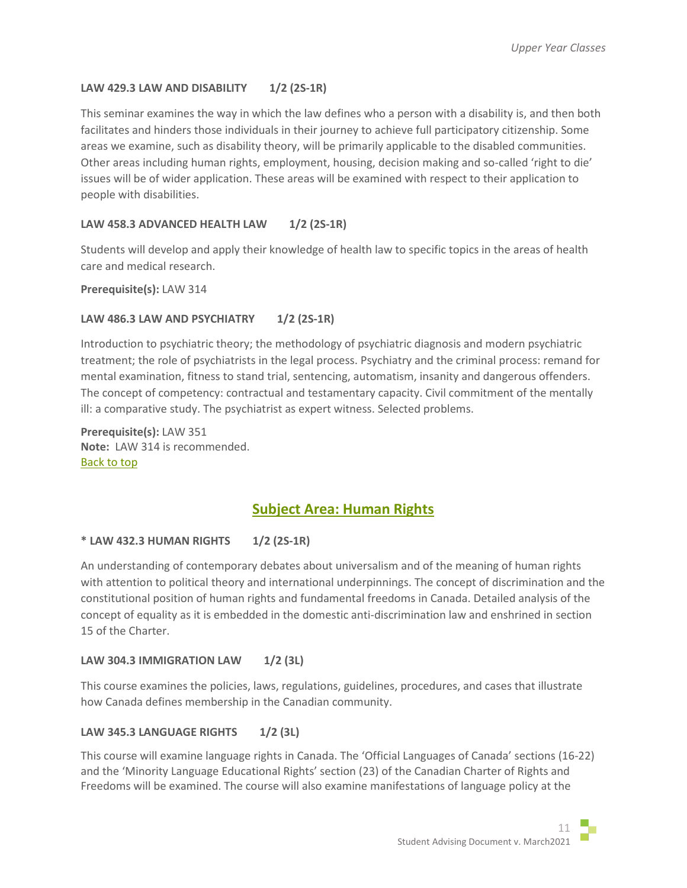# **LAW 429.3 LAW AND DISABILITY 1/2 (2S-1R)**

This seminar examines the way in which the law defines who a person with a disability is, and then both facilitates and hinders those individuals in their journey to achieve full participatory citizenship. Some areas we examine, such as disability theory, will be primarily applicable to the disabled communities. Other areas including human rights, employment, housing, decision making and so-called 'right to die' issues will be of wider application. These areas will be examined with respect to their application to people with disabilities.

# **LAW 458.3 ADVANCED HEALTH LAW 1/2 (2S-1R)**

Students will develop and apply their knowledge of health law to specific topics in the areas of health care and medical research.

**Prerequisite(s):** LAW 314

## **LAW 486.3 LAW AND PSYCHIATRY 1/2 (2S-1R)**

Introduction to psychiatric theory; the methodology of psychiatric diagnosis and modern psychiatric treatment; the role of psychiatrists in the legal process. Psychiatry and the criminal process: remand for mental examination, fitness to stand trial, sentencing, automatism, insanity and dangerous offenders. The concept of competency: contractual and testamentary capacity. Civil commitment of the mentally ill: a comparative study. The psychiatrist as expert witness. Selected problems.

**Prerequisite(s):** LAW 351 **Note:** LAW 314 is recommended. [Back to top](#page-0-1)

# **Subject Area: Human Rights**

## <span id="page-10-0"></span>**\* LAW 432.3 HUMAN RIGHTS 1/2 (2S-1R)**

An understanding of contemporary debates about universalism and of the meaning of human rights with attention to political theory and international underpinnings. The concept of discrimination and the constitutional position of human rights and fundamental freedoms in Canada. Detailed analysis of the concept of equality as it is embedded in the domestic anti-discrimination law and enshrined in section 15 of the Charter.

## **LAW 304.3 IMMIGRATION LAW 1/2 (3L)**

This course examines the policies, laws, regulations, guidelines, procedures, and cases that illustrate how Canada defines membership in the Canadian community.

## **LAW 345.3 LANGUAGE RIGHTS 1/2 (3L)**

This course will examine language rights in Canada. The 'Official Languages of Canada' sections (16-22) and the 'Minority Language Educational Rights' section (23) of the Canadian Charter of Rights and Freedoms will be examined. The course will also examine manifestations of language policy at the

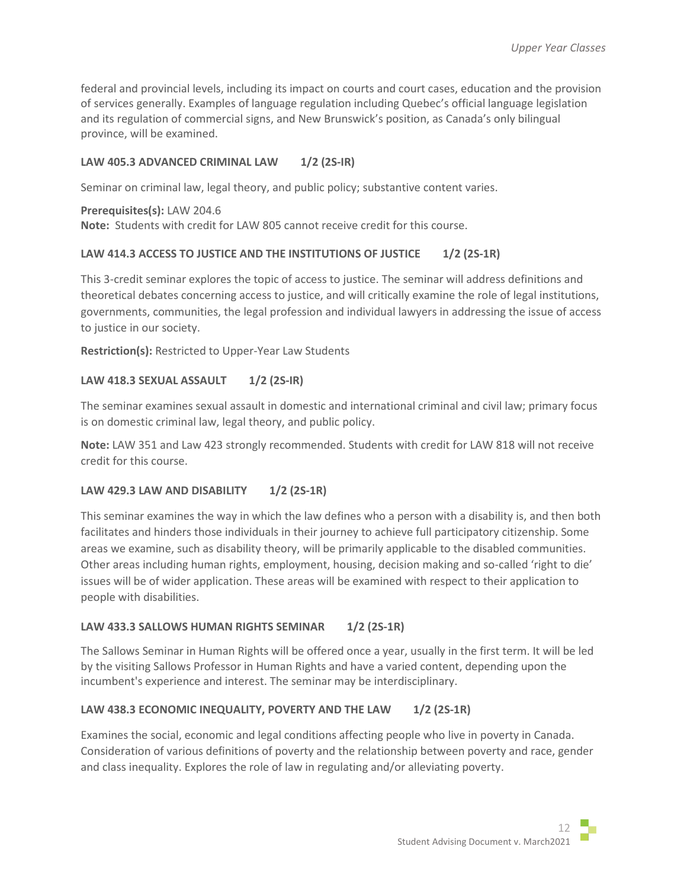federal and provincial levels, including its impact on courts and court cases, education and the provision of services generally. Examples of language regulation including Quebec's official language legislation and its regulation of commercial signs, and New Brunswick's position, as Canada's only bilingual province, will be examined.

# **LAW 405.3 ADVANCED CRIMINAL LAW 1/2 (2S-IR)**

Seminar on criminal law, legal theory, and public policy; substantive content varies.

**Prerequisites(s):** LAW 204.6 **Note:** Students with credit for LAW 805 cannot receive credit for this course.

# **LAW 414.3 ACCESS TO JUSTICE AND THE INSTITUTIONS OF JUSTICE 1/2 (2S-1R)**

This 3-credit seminar explores the topic of access to justice. The seminar will address definitions and theoretical debates concerning access to justice, and will critically examine the role of legal institutions, governments, communities, the legal profession and individual lawyers in addressing the issue of access to justice in our society.

**Restriction(s):** Restricted to Upper-Year Law Students

# **LAW 418.3 SEXUAL ASSAULT 1/2 (2S-IR)**

The seminar examines sexual assault in domestic and international criminal and civil law; primary focus is on domestic criminal law, legal theory, and public policy.

**Note:** LAW 351 and Law 423 strongly recommended. Students with credit for LAW 818 will not receive credit for this course.

# **LAW 429.3 LAW AND DISABILITY 1/2 (2S-1R)**

This seminar examines the way in which the law defines who a person with a disability is, and then both facilitates and hinders those individuals in their journey to achieve full participatory citizenship. Some areas we examine, such as disability theory, will be primarily applicable to the disabled communities. Other areas including human rights, employment, housing, decision making and so-called 'right to die' issues will be of wider application. These areas will be examined with respect to their application to people with disabilities.

# LAW 433.3 SALLOWS HUMAN RIGHTS SEMINAR 1/2 (2S-1R)

The Sallows Seminar in Human Rights will be offered once a year, usually in the first term. It will be led by the visiting Sallows Professor in Human Rights and have a varied content, depending upon the incumbent's experience and interest. The seminar may be interdisciplinary.

# LAW 438.3 ECONOMIC INEQUALITY, POVERTY AND THE LAW 1/2 (2S-1R)

Examines the social, economic and legal conditions affecting people who live in poverty in Canada. Consideration of various definitions of poverty and the relationship between poverty and race, gender and class inequality. Explores the role of law in regulating and/or alleviating poverty.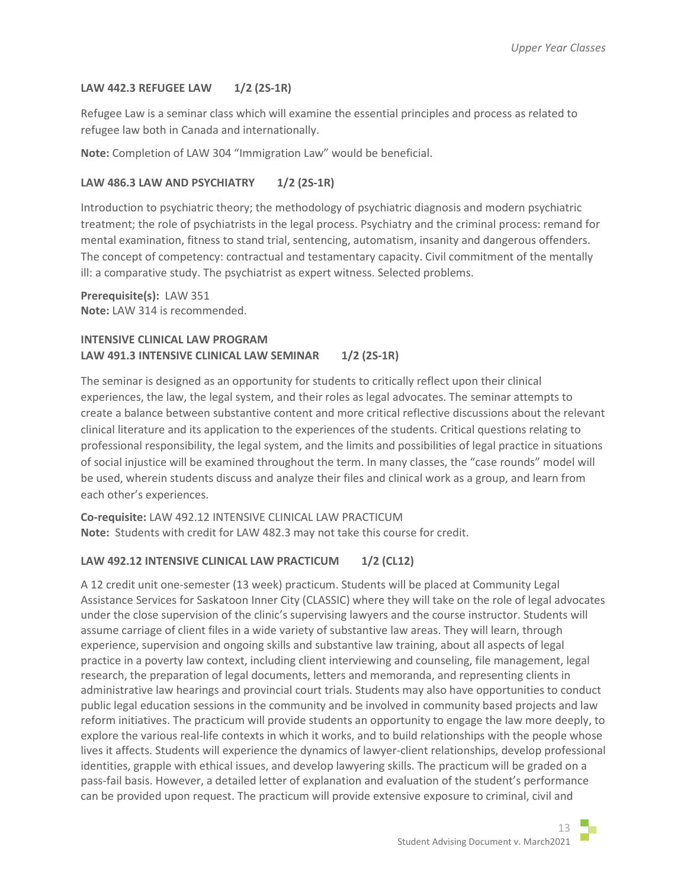## **LAW 442.3 REFUGEE LAW 1/2 (2S-1R)**

Refugee Law is a seminar class which will examine the essential principles and process as related to refugee law both in Canada and internationally.

**Note:** Completion of LAW 304 "Immigration Law" would be beneficial.

## **LAW 486.3 LAW AND PSYCHIATRY 1/2 (2S-1R)**

Introduction to psychiatric theory; the methodology of psychiatric diagnosis and modern psychiatric treatment; the role of psychiatrists in the legal process. Psychiatry and the criminal process: remand for mental examination, fitness to stand trial, sentencing, automatism, insanity and dangerous offenders. The concept of competency: contractual and testamentary capacity. Civil commitment of the mentally ill: a comparative study. The psychiatrist as expert witness. Selected problems.

**Prerequisite(s):** LAW 351 **Note:** LAW 314 is recommended.

# **INTENSIVE CLINICAL LAW PROGRAM LAW 491.3 INTENSIVE CLINICAL LAW SEMINAR 1/2 (2S-1R)**

The seminar is designed as an opportunity for students to critically reflect upon their clinical experiences, the law, the legal system, and their roles as legal advocates. The seminar attempts to create a balance between substantive content and more critical reflective discussions about the relevant clinical literature and its application to the experiences of the students. Critical questions relating to professional responsibility, the legal system, and the limits and possibilities of legal practice in situations of social injustice will be examined throughout the term. In many classes, the "case rounds" model will be used, wherein students discuss and analyze their files and clinical work as a group, and learn from each other's experiences.

**Co-requisite:** LAW 492.12 INTENSIVE CLINICAL LAW PRACTICUM **Note:** Students with credit for LAW 482.3 may not take this course for credit.

# **LAW 492.12 INTENSIVE CLINICAL LAW PRACTICUM 1/2 (CL12)**

A 12 credit unit one-semester (13 week) practicum. Students will be placed at Community Legal Assistance Services for Saskatoon Inner City (CLASSIC) where they will take on the role of legal advocates under the close supervision of the clinic's supervising lawyers and the course instructor. Students will assume carriage of client files in a wide variety of substantive law areas. They will learn, through experience, supervision and ongoing skills and substantive law training, about all aspects of legal practice in a poverty law context, including client interviewing and counseling, file management, legal research, the preparation of legal documents, letters and memoranda, and representing clients in administrative law hearings and provincial court trials. Students may also have opportunities to conduct public legal education sessions in the community and be involved in community based projects and law reform initiatives. The practicum will provide students an opportunity to engage the law more deeply, to explore the various real-life contexts in which it works, and to build relationships with the people whose lives it affects. Students will experience the dynamics of lawyer-client relationships, develop professional identities, grapple with ethical issues, and develop lawyering skills. The practicum will be graded on a pass-fail basis. However, a detailed letter of explanation and evaluation of the student's performance can be provided upon request. The practicum will provide extensive exposure to criminal, civil and



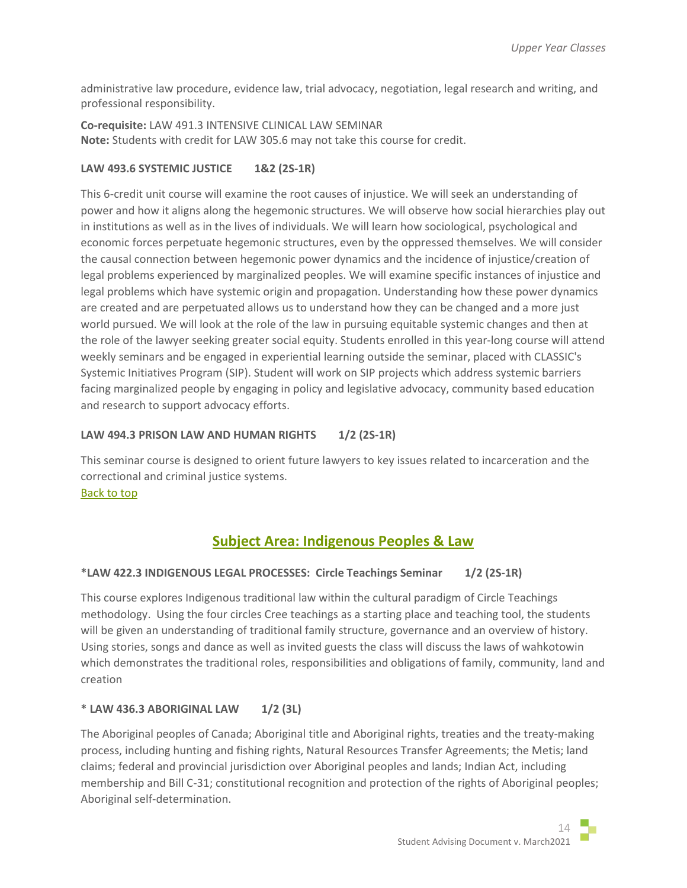administrative law procedure, evidence law, trial advocacy, negotiation, legal research and writing, and professional responsibility.

**Co-requisite:** LAW 491.3 INTENSIVE CLINICAL LAW SEMINAR **Note:** Students with credit for LAW 305.6 may not take this course for credit.

# **LAW 493.6 SYSTEMIC JUSTICE 1&2 (2S-1R)**

This 6-credit unit course will examine the root causes of injustice. We will seek an understanding of power and how it aligns along the hegemonic structures. We will observe how social hierarchies play out in institutions as well as in the lives of individuals. We will learn how sociological, psychological and economic forces perpetuate hegemonic structures, even by the oppressed themselves. We will consider the causal connection between hegemonic power dynamics and the incidence of injustice/creation of legal problems experienced by marginalized peoples. We will examine specific instances of injustice and legal problems which have systemic origin and propagation. Understanding how these power dynamics are created and are perpetuated allows us to understand how they can be changed and a more just world pursued. We will look at the role of the law in pursuing equitable systemic changes and then at the role of the lawyer seeking greater social equity. Students enrolled in this year-long course will attend weekly seminars and be engaged in experiential learning outside the seminar, placed with CLASSIC's Systemic Initiatives Program (SIP). Student will work on SIP projects which address systemic barriers facing marginalized people by engaging in policy and legislative advocacy, community based education and research to support advocacy efforts.

# **LAW 494.3 PRISON LAW AND HUMAN RIGHTS 1/2 (2S-1R)**

This seminar course is designed to orient future lawyers to key issues related to incarceration and the correctional and criminal justice systems.

[Back to top](#page-0-1)

# **Subject Area: Indigenous Peoples & Law**

# <span id="page-13-0"></span>**\*LAW 422.3 INDIGENOUS LEGAL PROCESSES: Circle Teachings Seminar 1/2 (2S-1R)**

This course explores Indigenous traditional law within the cultural paradigm of Circle Teachings methodology. Using the four circles Cree teachings as a starting place and teaching tool, the students will be given an understanding of traditional family structure, governance and an overview of history. Using stories, songs and dance as well as invited guests the class will discuss the laws of wahkotowin which demonstrates the traditional roles, responsibilities and obligations of family, community, land and creation

# **\* LAW 436.3 ABORIGINAL LAW 1/2 (3L)**

The Aboriginal peoples of Canada; Aboriginal title and Aboriginal rights, treaties and the treaty-making process, including hunting and fishing rights, Natural Resources Transfer Agreements; the Metis; land claims; federal and provincial jurisdiction over Aboriginal peoples and lands; Indian Act, including membership and Bill C-31; constitutional recognition and protection of the rights of Aboriginal peoples; Aboriginal self-determination.

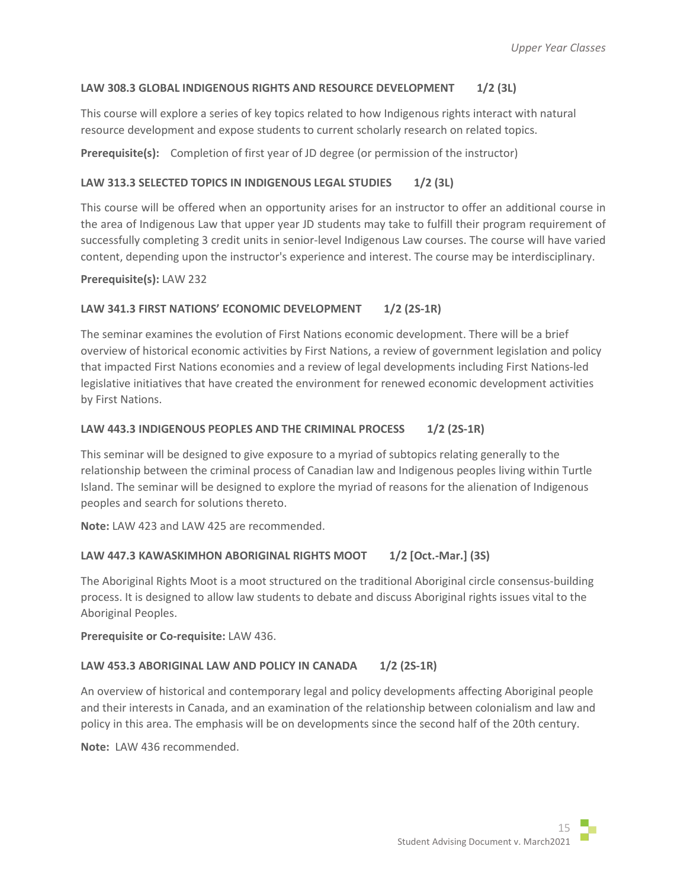# **LAW 308.3 GLOBAL INDIGENOUS RIGHTS AND RESOURCE DEVELOPMENT 1/2 (3L)**

This course will explore a series of key topics related to how Indigenous rights interact with natural resource development and expose students to current scholarly research on related topics.

**Prerequisite(s):** Completion of first year of JD degree (or permission of the instructor)

# **LAW 313.3 SELECTED TOPICS IN INDIGENOUS LEGAL STUDIES 1/2 (3L)**

This course will be offered when an opportunity arises for an instructor to offer an additional course in the area of Indigenous Law that upper year JD students may take to fulfill their program requirement of successfully completing 3 credit units in senior-level Indigenous Law courses. The course will have varied content, depending upon the instructor's experience and interest. The course may be interdisciplinary.

## **Prerequisite(s):** LAW 232

## LAW 341.3 FIRST NATIONS' ECONOMIC DEVELOPMENT 1/2 (2S-1R)

The seminar examines the evolution of First Nations economic development. There will be a brief overview of historical economic activities by First Nations, a review of government legislation and policy that impacted First Nations economies and a review of legal developments including First Nations-led legislative initiatives that have created the environment for renewed economic development activities by First Nations.

## LAW 443.3 INDIGENOUS PEOPLES AND THE CRIMINAL PROCESS 1/2 (2S-1R)

This seminar will be designed to give exposure to a myriad of subtopics relating generally to the relationship between the criminal process of Canadian law and Indigenous peoples living within Turtle Island. The seminar will be designed to explore the myriad of reasons for the alienation of Indigenous peoples and search for solutions thereto.

**Note:** LAW 423 and LAW 425 are recommended.

# LAW 447.3 KAWASKIMHON ABORIGINAL RIGHTS MOOT 1/2 [Oct.-Mar.] (3S)

The Aboriginal Rights Moot is a moot structured on the traditional Aboriginal circle consensus-building process. It is designed to allow law students to debate and discuss Aboriginal rights issues vital to the Aboriginal Peoples.

## **Prerequisite or Co-requisite:** LAW 436.

## LAW 453.3 ABORIGINAL LAW AND POLICY IN CANADA 1/2 (2S-1R)

An overview of historical and contemporary legal and policy developments affecting Aboriginal people and their interests in Canada, and an examination of the relationship between colonialism and law and policy in this area. The emphasis will be on developments since the second half of the 20th century.

**Note:** LAW 436 recommended.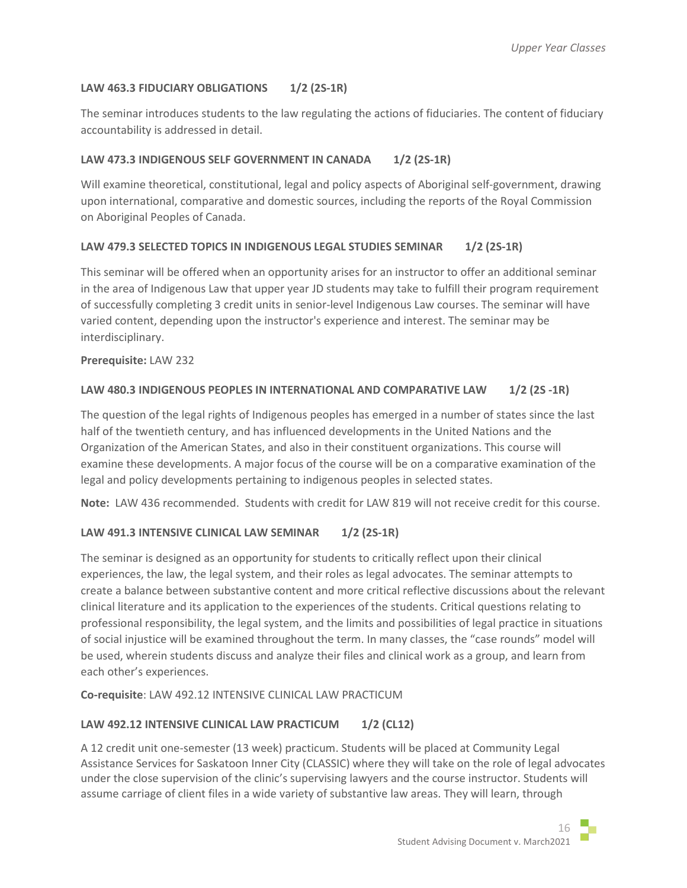# **LAW 463.3 FIDUCIARY OBLIGATIONS 1/2 (2S-1R)**

The seminar introduces students to the law regulating the actions of fiduciaries. The content of fiduciary accountability is addressed in detail.

# LAW 473.3 INDIGENOUS SELF GOVERNMENT IN CANADA 1/2 (2S-1R)

Will examine theoretical, constitutional, legal and policy aspects of Aboriginal self-government, drawing upon international, comparative and domestic sources, including the reports of the Royal Commission on Aboriginal Peoples of Canada.

# **LAW 479.3 SELECTED TOPICS IN INDIGENOUS LEGAL STUDIES SEMINAR 1/2 (2S-1R)**

This seminar will be offered when an opportunity arises for an instructor to offer an additional seminar in the area of Indigenous Law that upper year JD students may take to fulfill their program requirement of successfully completing 3 credit units in senior-level Indigenous Law courses. The seminar will have varied content, depending upon the instructor's experience and interest. The seminar may be interdisciplinary.

## **Prerequisite:** LAW 232

# LAW 480.3 INDIGENOUS PEOPLES IN INTERNATIONAL AND COMPARATIVE LAW 1/2 (2S -1R)

The question of the legal rights of Indigenous peoples has emerged in a number of states since the last half of the twentieth century, and has influenced developments in the United Nations and the Organization of the American States, and also in their constituent organizations. This course will examine these developments. A major focus of the course will be on a comparative examination of the legal and policy developments pertaining to indigenous peoples in selected states.

**Note:** LAW 436 recommended. Students with credit for LAW 819 will not receive credit for this course.

# **LAW 491.3 INTENSIVE CLINICAL LAW SEMINAR 1/2 (2S-1R)**

The seminar is designed as an opportunity for students to critically reflect upon their clinical experiences, the law, the legal system, and their roles as legal advocates. The seminar attempts to create a balance between substantive content and more critical reflective discussions about the relevant clinical literature and its application to the experiences of the students. Critical questions relating to professional responsibility, the legal system, and the limits and possibilities of legal practice in situations of social injustice will be examined throughout the term. In many classes, the "case rounds" model will be used, wherein students discuss and analyze their files and clinical work as a group, and learn from each other's experiences.

**Co-requisite**: LAW 492.12 INTENSIVE CLINICAL LAW PRACTICUM

# **LAW 492.12 INTENSIVE CLINICAL LAW PRACTICUM 1/2 (CL12)**

A 12 credit unit one-semester (13 week) practicum. Students will be placed at Community Legal Assistance Services for Saskatoon Inner City (CLASSIC) where they will take on the role of legal advocates under the close supervision of the clinic's supervising lawyers and the course instructor. Students will assume carriage of client files in a wide variety of substantive law areas. They will learn, through

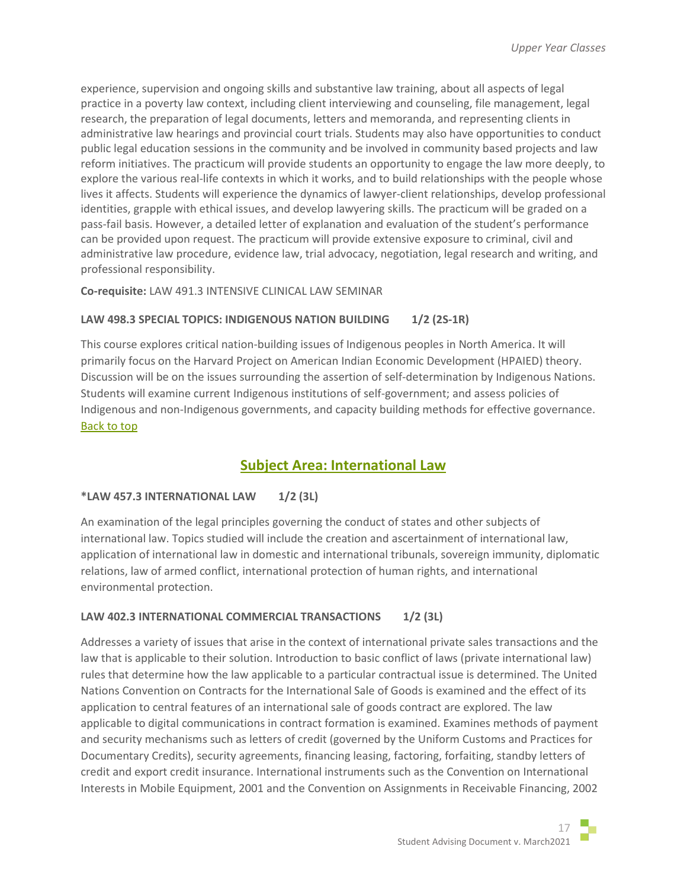experience, supervision and ongoing skills and substantive law training, about all aspects of legal practice in a poverty law context, including client interviewing and counseling, file management, legal research, the preparation of legal documents, letters and memoranda, and representing clients in administrative law hearings and provincial court trials. Students may also have opportunities to conduct public legal education sessions in the community and be involved in community based projects and law reform initiatives. The practicum will provide students an opportunity to engage the law more deeply, to explore the various real-life contexts in which it works, and to build relationships with the people whose lives it affects. Students will experience the dynamics of lawyer-client relationships, develop professional identities, grapple with ethical issues, and develop lawyering skills. The practicum will be graded on a pass-fail basis. However, a detailed letter of explanation and evaluation of the student's performance can be provided upon request. The practicum will provide extensive exposure to criminal, civil and administrative law procedure, evidence law, trial advocacy, negotiation, legal research and writing, and professional responsibility.

**Co-requisite:** LAW 491.3 INTENSIVE CLINICAL LAW SEMINAR

## **LAW 498.3 SPECIAL TOPICS: INDIGENOUS NATION BUILDING 1/2 (2S-1R)**

This course explores critical nation-building issues of Indigenous peoples in North America. It will primarily focus on the Harvard Project on American Indian Economic Development (HPAIED) theory. Discussion will be on the issues surrounding the assertion of self-determination by Indigenous Nations. Students will examine current Indigenous institutions of self-government; and assess policies of Indigenous and non-Indigenous governments, and capacity building methods for effective governance. [Back to top](#page-0-1)

# **Subject Area: International Law**

## <span id="page-16-0"></span>**\*LAW 457.3 INTERNATIONAL LAW 1/2 (3L)**

An examination of the legal principles governing the conduct of states and other subjects of international law. Topics studied will include the creation and ascertainment of international law, application of international law in domestic and international tribunals, sovereign immunity, diplomatic relations, law of armed conflict, international protection of human rights, and international environmental protection.

# LAW 402.3 INTERNATIONAL COMMERCIAL TRANSACTIONS 1/2 (3L)

Addresses a variety of issues that arise in the context of international private sales transactions and the law that is applicable to their solution. Introduction to basic conflict of laws (private international law) rules that determine how the law applicable to a particular contractual issue is determined. The United Nations Convention on Contracts for the International Sale of Goods is examined and the effect of its application to central features of an international sale of goods contract are explored. The law applicable to digital communications in contract formation is examined. Examines methods of payment and security mechanisms such as letters of credit (governed by the Uniform Customs and Practices for Documentary Credits), security agreements, financing leasing, factoring, forfaiting, standby letters of credit and export credit insurance. International instruments such as the Convention on International Interests in Mobile Equipment, 2001 and the Convention on Assignments in Receivable Financing, 2002

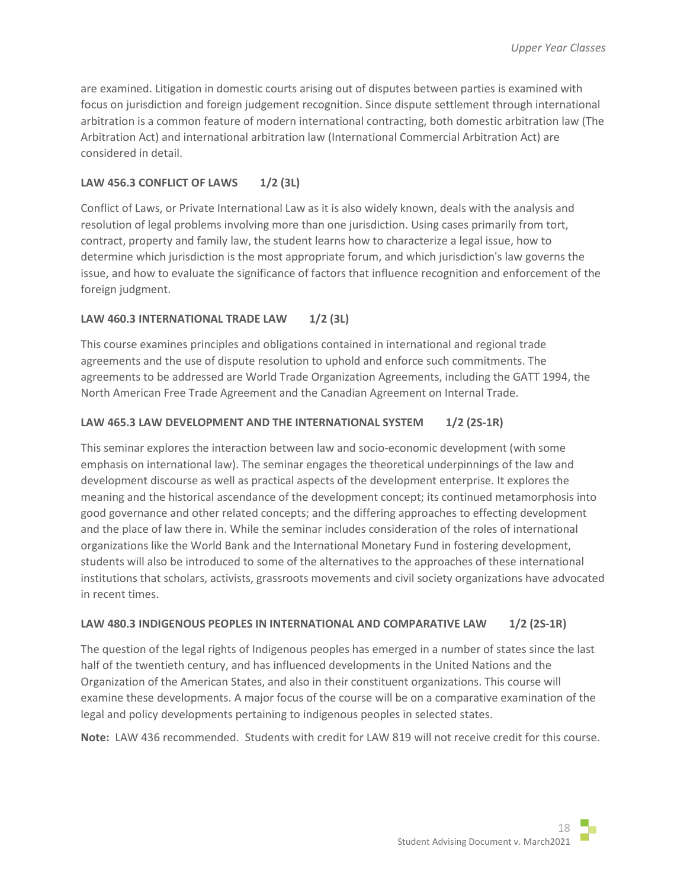are examined. Litigation in domestic courts arising out of disputes between parties is examined with focus on jurisdiction and foreign judgement recognition. Since dispute settlement through international arbitration is a common feature of modern international contracting, both domestic arbitration law (The Arbitration Act) and international arbitration law (International Commercial Arbitration Act) are considered in detail.

## **LAW 456.3 CONFLICT OF LAWS 1/2 (3L)**

Conflict of Laws, or Private International Law as it is also widely known, deals with the analysis and resolution of legal problems involving more than one jurisdiction. Using cases primarily from tort, contract, property and family law, the student learns how to characterize a legal issue, how to determine which jurisdiction is the most appropriate forum, and which jurisdiction's law governs the issue, and how to evaluate the significance of factors that influence recognition and enforcement of the foreign judgment.

## LAW 460.3 INTERNATIONAL TRADE LAW 1/2 (3L)

This course examines principles and obligations contained in international and regional trade agreements and the use of dispute resolution to uphold and enforce such commitments. The agreements to be addressed are World Trade Organization Agreements, including the GATT 1994, the North American Free Trade Agreement and the Canadian Agreement on Internal Trade.

## **LAW 465.3 LAW DEVELOPMENT AND THE INTERNATIONAL SYSTEM 1/2 (2S-1R)**

This seminar explores the interaction between law and socio-economic development (with some emphasis on international law). The seminar engages the theoretical underpinnings of the law and development discourse as well as practical aspects of the development enterprise. It explores the meaning and the historical ascendance of the development concept; its continued metamorphosis into good governance and other related concepts; and the differing approaches to effecting development and the place of law there in. While the seminar includes consideration of the roles of international organizations like the World Bank and the International Monetary Fund in fostering development, students will also be introduced to some of the alternatives to the approaches of these international institutions that scholars, activists, grassroots movements and civil society organizations have advocated in recent times.

## LAW 480.3 INDIGENOUS PEOPLES IN INTERNATIONAL AND COMPARATIVE LAW 1/2 (2S-1R)

The question of the legal rights of Indigenous peoples has emerged in a number of states since the last half of the twentieth century, and has influenced developments in the United Nations and the Organization of the American States, and also in their constituent organizations. This course will examine these developments. A major focus of the course will be on a comparative examination of the legal and policy developments pertaining to indigenous peoples in selected states.

**Note:** LAW 436 recommended. Students with credit for LAW 819 will not receive credit for this course.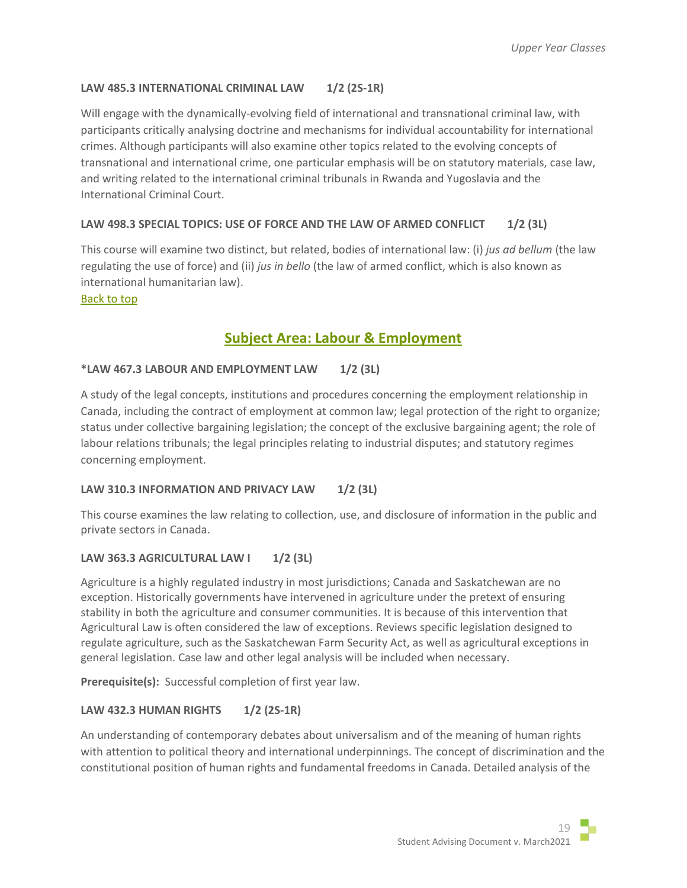# **LAW 485.3 INTERNATIONAL CRIMINAL LAW 1/2 (2S-1R)**

Will engage with the dynamically-evolving field of international and transnational criminal law, with participants critically analysing doctrine and mechanisms for individual accountability for international crimes. Although participants will also examine other topics related to the evolving concepts of transnational and international crime, one particular emphasis will be on statutory materials, case law, and writing related to the international criminal tribunals in Rwanda and Yugoslavia and the International Criminal Court.

## **LAW 498.3 SPECIAL TOPICS: USE OF FORCE AND THE LAW OF ARMED CONFLICT 1/2 (3L)**

This course will examine two distinct, but related, bodies of international law: (i) *jus ad bellum* (the law regulating the use of force) and (ii) *jus in bello* (the law of armed conflict, which is also known as international humanitarian law).

#### <span id="page-18-0"></span>[Back to top](#page-0-1)

# **Subject Area: Labour & Employment**

## **\*LAW 467.3 LABOUR AND EMPLOYMENT LAW 1/2 (3L)**

A study of the legal concepts, institutions and procedures concerning the employment relationship in Canada, including the contract of employment at common law; legal protection of the right to organize; status under collective bargaining legislation; the concept of the exclusive bargaining agent; the role of labour relations tribunals; the legal principles relating to industrial disputes; and statutory regimes concerning employment.

## LAW 310.3 INFORMATION AND PRIVACY LAW 1/2 (3L)

This course examines the law relating to collection, use, and disclosure of information in the public and private sectors in Canada.

# LAW 363.3 AGRICULTURAL LAW **1 1/2 (3L)**

Agriculture is a highly regulated industry in most jurisdictions; Canada and Saskatchewan are no exception. Historically governments have intervened in agriculture under the pretext of ensuring stability in both the agriculture and consumer communities. It is because of this intervention that Agricultural Law is often considered the law of exceptions. Reviews specific legislation designed to regulate agriculture, such as the Saskatchewan Farm Security Act, as well as agricultural exceptions in general legislation. Case law and other legal analysis will be included when necessary.

**Prerequisite(s):** Successful completion of first year law.

## **LAW 432.3 HUMAN RIGHTS 1/2 (2S-1R)**

An understanding of contemporary debates about universalism and of the meaning of human rights with attention to political theory and international underpinnings. The concept of discrimination and the constitutional position of human rights and fundamental freedoms in Canada. Detailed analysis of the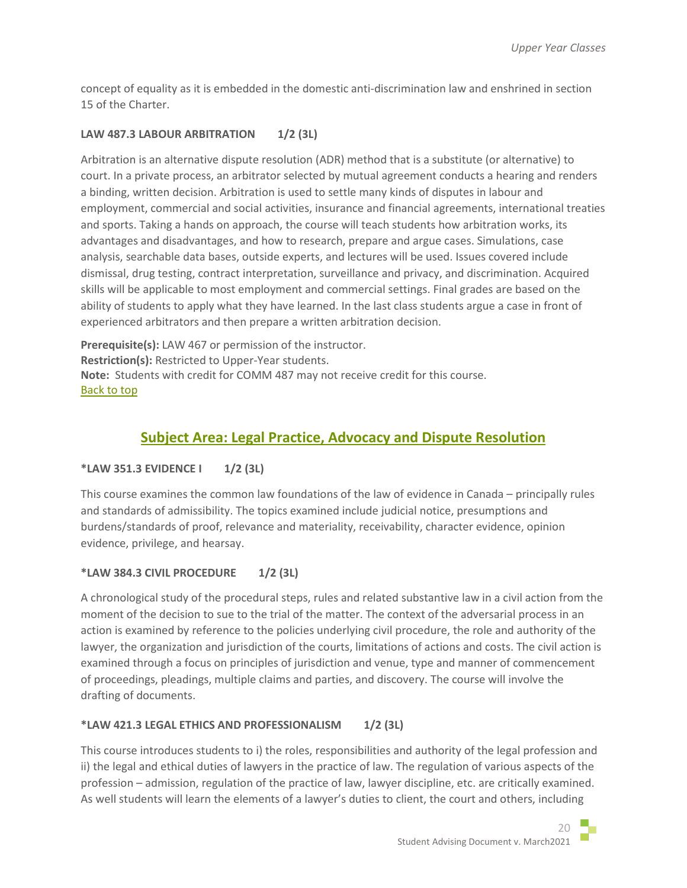concept of equality as it is embedded in the domestic anti-discrimination law and enshrined in section 15 of the Charter.

# **LAW 487.3 LABOUR ARBITRATION 1/2 (3L)**

Arbitration is an alternative dispute resolution (ADR) method that is a substitute (or alternative) to court. In a private process, an arbitrator selected by mutual agreement conducts a hearing and renders a binding, written decision. Arbitration is used to settle many kinds of disputes in labour and employment, commercial and social activities, insurance and financial agreements, international treaties and sports. Taking a hands on approach, the course will teach students how arbitration works, its advantages and disadvantages, and how to research, prepare and argue cases. Simulations, case analysis, searchable data bases, outside experts, and lectures will be used. Issues covered include dismissal, drug testing, contract interpretation, surveillance and privacy, and discrimination. Acquired skills will be applicable to most employment and commercial settings. Final grades are based on the ability of students to apply what they have learned. In the last class students argue a case in front of experienced arbitrators and then prepare a written arbitration decision.

**Prerequisite(s):** LAW 467 or permission of the instructor. **Restriction(s):** Restricted to Upper-Year students. **Note:** Students with credit for COMM 487 may not receive credit for this course. [Back to top](#page-0-1)

# **Subject Area: Legal Practice, Advocacy and Dispute Resolution**

# <span id="page-19-0"></span>**\*LAW 351.3 EVIDENCE I 1/2 (3L)**

This course examines the common law foundations of the law of evidence in Canada – principally rules and standards of admissibility. The topics examined include judicial notice, presumptions and burdens/standards of proof, relevance and materiality, receivability, character evidence, opinion evidence, privilege, and hearsay.

# **\*LAW 384.3 CIVIL PROCEDURE 1/2 (3L)**

A chronological study of the procedural steps, rules and related substantive law in a civil action from the moment of the decision to sue to the trial of the matter. The context of the adversarial process in an action is examined by reference to the policies underlying civil procedure, the role and authority of the lawyer, the organization and jurisdiction of the courts, limitations of actions and costs. The civil action is examined through a focus on principles of jurisdiction and venue, type and manner of commencement of proceedings, pleadings, multiple claims and parties, and discovery. The course will involve the drafting of documents.

# **\*LAW 421.3 LEGAL ETHICS AND PROFESSIONALISM 1/2 (3L)**

This course introduces students to i) the roles, responsibilities and authority of the legal profession and ii) the legal and ethical duties of lawyers in the practice of law. The regulation of various aspects of the profession – admission, regulation of the practice of law, lawyer discipline, etc. are critically examined. As well students will learn the elements of a lawyer's duties to client, the court and others, including

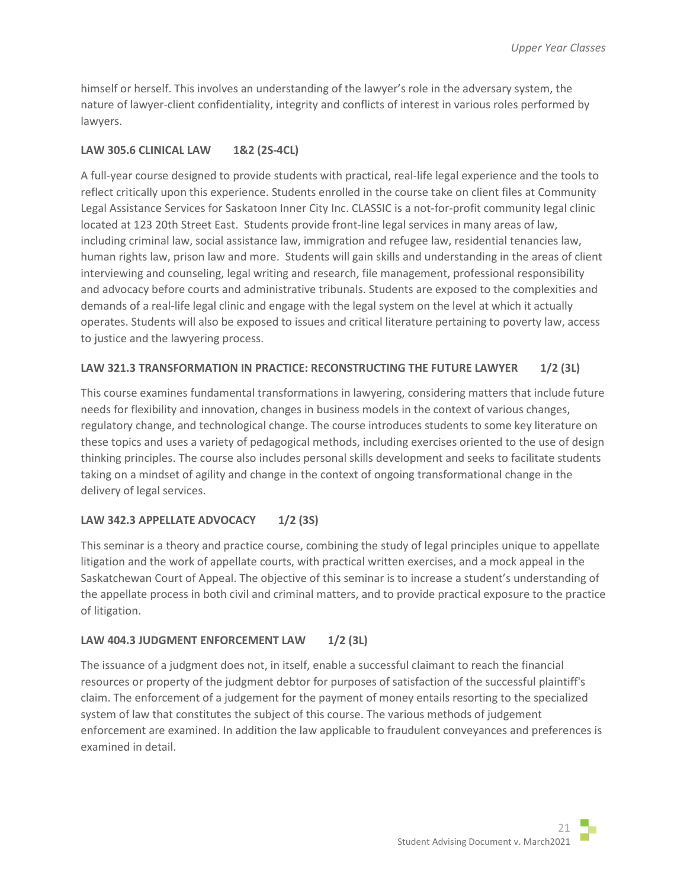himself or herself. This involves an understanding of the lawyer's role in the adversary system, the nature of lawyer-client confidentiality, integrity and conflicts of interest in various roles performed by lawyers.

## **LAW 305.6 CLINICAL LAW 1&2 (2S-4CL)**

A full-year course designed to provide students with practical, real-life legal experience and the tools to reflect critically upon this experience. Students enrolled in the course take on client files at Community Legal Assistance Services for Saskatoon Inner City Inc. CLASSIC is a not-for-profit community legal clinic located at 123 20th Street East. Students provide front-line legal services in many areas of law, including criminal law, social assistance law, immigration and refugee law, residential tenancies law, human rights law, prison law and more. Students will gain skills and understanding in the areas of client interviewing and counseling, legal writing and research, file management, professional responsibility and advocacy before courts and administrative tribunals. Students are exposed to the complexities and demands of a real-life legal clinic and engage with the legal system on the level at which it actually operates. Students will also be exposed to issues and critical literature pertaining to poverty law, access to justice and the lawyering process.

## **LAW 321.3 TRANSFORMATION IN PRACTICE: RECONSTRUCTING THE FUTURE LAWYER 1/2 (3L)**

This course examines fundamental transformations in lawyering, considering matters that include future needs for flexibility and innovation, changes in business models in the context of various changes, regulatory change, and technological change. The course introduces students to some key literature on these topics and uses a variety of pedagogical methods, including exercises oriented to the use of design thinking principles. The course also includes personal skills development and seeks to facilitate students taking on a mindset of agility and change in the context of ongoing transformational change in the delivery of legal services.

# **LAW 342.3 APPELLATE ADVOCACY 1/2 (3S)**

This seminar is a theory and practice course, combining the study of legal principles unique to appellate litigation and the work of appellate courts, with practical written exercises, and a mock appeal in the Saskatchewan Court of Appeal. The objective of this seminar is to increase a student's understanding of the appellate process in both civil and criminal matters, and to provide practical exposure to the practice of litigation.

## LAW 404.3 JUDGMENT ENFORCEMENT LAW 1/2 (3L)

The issuance of a judgment does not, in itself, enable a successful claimant to reach the financial resources or property of the judgment debtor for purposes of satisfaction of the successful plaintiff's claim. The enforcement of a judgement for the payment of money entails resorting to the specialized system of law that constitutes the subject of this course. The various methods of judgement enforcement are examined. In addition the law applicable to fraudulent conveyances and preferences is examined in detail.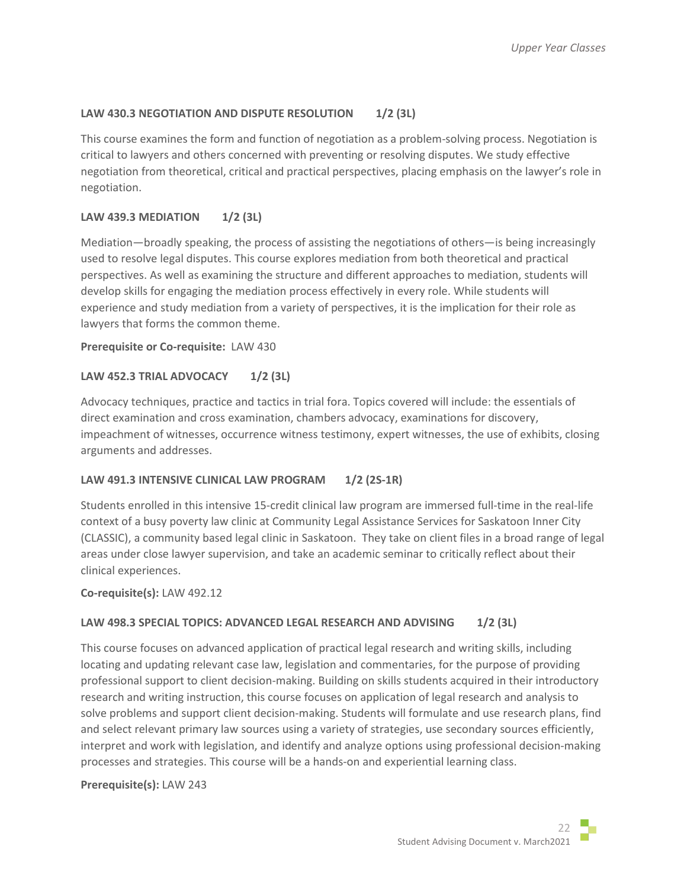# LAW 430.3 NEGOTIATION AND DISPUTE RESOLUTION 1/2 (3L)

This course examines the form and function of negotiation as a problem-solving process. Negotiation is critical to lawyers and others concerned with preventing or resolving disputes. We study effective negotiation from theoretical, critical and practical perspectives, placing emphasis on the lawyer's role in negotiation.

## **LAW 439.3 MEDIATION 1/2 (3L)**

Mediation—broadly speaking, the process of assisting the negotiations of others—is being increasingly used to resolve legal disputes. This course explores mediation from both theoretical and practical perspectives. As well as examining the structure and different approaches to mediation, students will develop skills for engaging the mediation process effectively in every role. While students will experience and study mediation from a variety of perspectives, it is the implication for their role as lawyers that forms the common theme.

## **Prerequisite or Co-requisite:** LAW 430

# **LAW 452.3 TRIAL ADVOCACY 1/2 (3L)**

Advocacy techniques, practice and tactics in trial fora. Topics covered will include: the essentials of direct examination and cross examination, chambers advocacy, examinations for discovery, impeachment of witnesses, occurrence witness testimony, expert witnesses, the use of exhibits, closing arguments and addresses.

## LAW 491.3 INTENSIVE CLINICAL LAW PROGRAM 1/2 (2S-1R)

Students enrolled in this intensive 15-credit clinical law program are immersed full-time in the real-life context of a busy poverty law clinic at Community Legal Assistance Services for Saskatoon Inner City (CLASSIC), a community based legal clinic in Saskatoon. They take on client files in a broad range of legal areas under close lawyer supervision, and take an academic seminar to critically reflect about their clinical experiences.

## **Co-requisite(s):** LAW 492.12

## **LAW 498.3 SPECIAL TOPICS: ADVANCED LEGAL RESEARCH AND ADVISING 1/2 (3L)**

This course focuses on advanced application of practical legal research and writing skills, including locating and updating relevant case law, legislation and commentaries, for the purpose of providing professional support to client decision-making. Building on skills students acquired in their introductory research and writing instruction, this course focuses on application of legal research and analysis to solve problems and support client decision-making. Students will formulate and use research plans, find and select relevant primary law sources using a variety of strategies, use secondary sources efficiently, interpret and work with legislation, and identify and analyze options using professional decision-making processes and strategies. This course will be a hands-on and experiential learning class.

## **Prerequisite(s):** LAW 243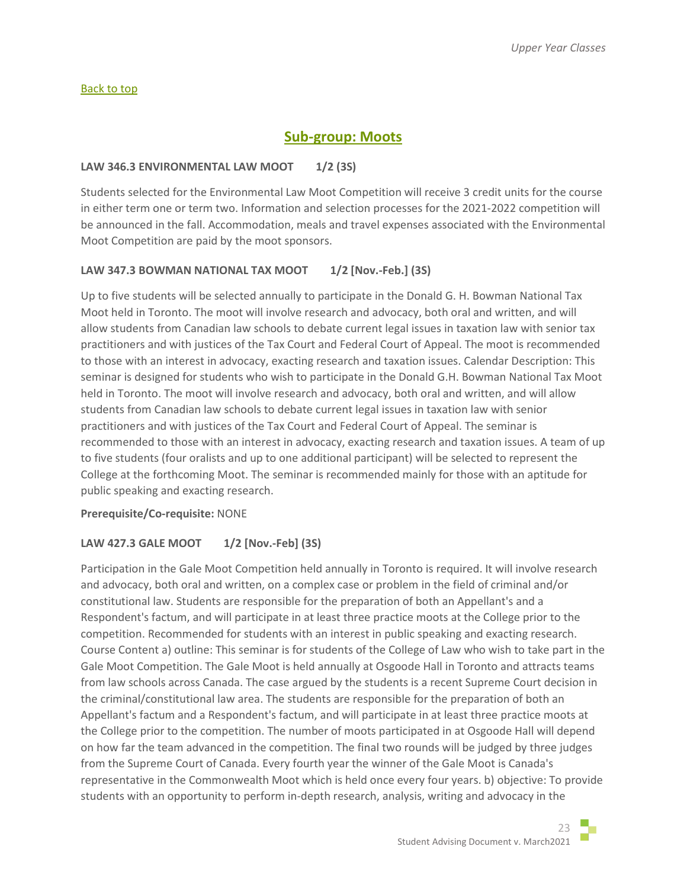#### [Back to top](#page-0-1)

# **Sub-group: Moots**

## <span id="page-22-0"></span>**LAW 346.3 ENVIRONMENTAL LAW MOOT 1/2 (3S)**

Students selected for the Environmental Law Moot Competition will receive 3 credit units for the course in either term one or term two. Information and selection processes for the 2021-2022 competition will be announced in the fall. Accommodation, meals and travel expenses associated with the Environmental Moot Competition are paid by the moot sponsors.

## **LAW 347.3 BOWMAN NATIONAL TAX MOOT 1/2 [Nov.-Feb.] (3S)**

Up to five students will be selected annually to participate in the Donald G. H. Bowman National Tax Moot held in Toronto. The moot will involve research and advocacy, both oral and written, and will allow students from Canadian law schools to debate current legal issues in taxation law with senior tax practitioners and with justices of the Tax Court and Federal Court of Appeal. The moot is recommended to those with an interest in advocacy, exacting research and taxation issues. Calendar Description: This seminar is designed for students who wish to participate in the Donald G.H. Bowman National Tax Moot held in Toronto. The moot will involve research and advocacy, both oral and written, and will allow students from Canadian law schools to debate current legal issues in taxation law with senior practitioners and with justices of the Tax Court and Federal Court of Appeal. The seminar is recommended to those with an interest in advocacy, exacting research and taxation issues. A team of up to five students (four oralists and up to one additional participant) will be selected to represent the College at the forthcoming Moot. The seminar is recommended mainly for those with an aptitude for public speaking and exacting research.

## **Prerequisite/Co-requisite:** NONE

# **LAW 427.3 GALE MOOT 1/2 [Nov.-Feb] (3S)**

Participation in the Gale Moot Competition held annually in Toronto is required. It will involve research and advocacy, both oral and written, on a complex case or problem in the field of criminal and/or constitutional law. Students are responsible for the preparation of both an Appellant's and a Respondent's factum, and will participate in at least three practice moots at the College prior to the competition. Recommended for students with an interest in public speaking and exacting research. Course Content a) outline: This seminar is for students of the College of Law who wish to take part in the Gale Moot Competition. The Gale Moot is held annually at Osgoode Hall in Toronto and attracts teams from law schools across Canada. The case argued by the students is a recent Supreme Court decision in the criminal/constitutional law area. The students are responsible for the preparation of both an Appellant's factum and a Respondent's factum, and will participate in at least three practice moots at the College prior to the competition. The number of moots participated in at Osgoode Hall will depend on how far the team advanced in the competition. The final two rounds will be judged by three judges from the Supreme Court of Canada. Every fourth year the winner of the Gale Moot is Canada's representative in the Commonwealth Moot which is held once every four years. b) objective: To provide students with an opportunity to perform in-depth research, analysis, writing and advocacy in the

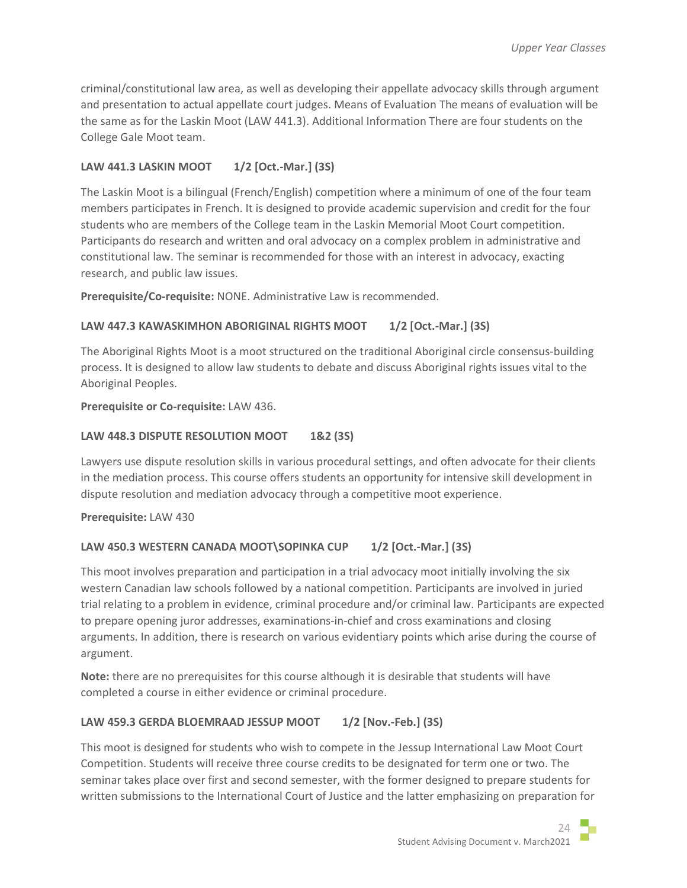criminal/constitutional law area, as well as developing their appellate advocacy skills through argument and presentation to actual appellate court judges. Means of Evaluation The means of evaluation will be the same as for the Laskin Moot (LAW 441.3). Additional Information There are four students on the College Gale Moot team.

# **LAW 441.3 LASKIN MOOT 1/2 [Oct.-Mar.] (3S)**

The Laskin Moot is a bilingual (French/English) competition where a minimum of one of the four team members participates in French. It is designed to provide academic supervision and credit for the four students who are members of the College team in the Laskin Memorial Moot Court competition. Participants do research and written and oral advocacy on a complex problem in administrative and constitutional law. The seminar is recommended for those with an interest in advocacy, exacting research, and public law issues.

**Prerequisite/Co-requisite:** NONE. Administrative Law is recommended.

# **LAW 447.3 KAWASKIMHON ABORIGINAL RIGHTS MOOT 1/2 [Oct.-Mar.] (3S)**

The Aboriginal Rights Moot is a moot structured on the traditional Aboriginal circle consensus-building process. It is designed to allow law students to debate and discuss Aboriginal rights issues vital to the Aboriginal Peoples.

**Prerequisite or Co-requisite:** LAW 436.

## **LAW 448.3 DISPUTE RESOLUTION MOOT 1&2 (3S)**

Lawyers use dispute resolution skills in various procedural settings, and often advocate for their clients in the mediation process. This course offers students an opportunity for intensive skill development in dispute resolution and mediation advocacy through a competitive moot experience.

**Prerequisite:** LAW 430

# **LAW 450.3 WESTERN CANADA MOOT\SOPINKA CUP 1/2 [Oct.-Mar.] (3S)**

This moot involves preparation and participation in a trial advocacy moot initially involving the six western Canadian law schools followed by a national competition. Participants are involved in juried trial relating to a problem in evidence, criminal procedure and/or criminal law. Participants are expected to prepare opening juror addresses, examinations-in-chief and cross examinations and closing arguments. In addition, there is research on various evidentiary points which arise during the course of argument.

**Note:** there are no prerequisites for this course although it is desirable that students will have completed a course in either evidence or criminal procedure.

# LAW 459.3 GERDA BLOEMRAAD JESSUP MOOT 1/2 [Nov.-Feb.] (3S)

This moot is designed for students who wish to compete in the Jessup International Law Moot Court Competition. Students will receive three course credits to be designated for term one or two. The seminar takes place over first and second semester, with the former designed to prepare students for written submissions to the International Court of Justice and the latter emphasizing on preparation for

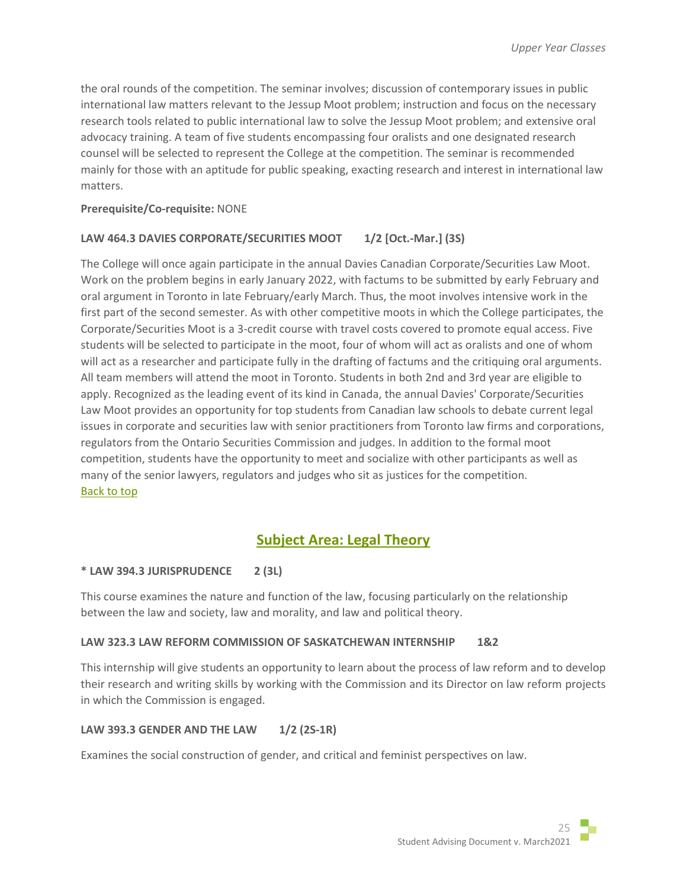the oral rounds of the competition. The seminar involves; discussion of contemporary issues in public international law matters relevant to the Jessup Moot problem; instruction and focus on the necessary research tools related to public international law to solve the Jessup Moot problem; and extensive oral advocacy training. A team of five students encompassing four oralists and one designated research counsel will be selected to represent the College at the competition. The seminar is recommended mainly for those with an aptitude for public speaking, exacting research and interest in international law matters.

## **Prerequisite/Co-requisite:** NONE

# LAW 464.3 DAVIES CORPORATE/SECURITIES MOOT 1/2 [Oct.-Mar.] (3S)

The College will once again participate in the annual Davies Canadian Corporate/Securities Law Moot. Work on the problem begins in early January 2022, with factums to be submitted by early February and oral argument in Toronto in late February/early March. Thus, the moot involves intensive work in the first part of the second semester. As with other competitive moots in which the College participates, the Corporate/Securities Moot is a 3-credit course with travel costs covered to promote equal access. Five students will be selected to participate in the moot, four of whom will act as oralists and one of whom will act as a researcher and participate fully in the drafting of factums and the critiquing oral arguments. All team members will attend the moot in Toronto. Students in both 2nd and 3rd year are eligible to apply. Recognized as the leading event of its kind in Canada, the annual Davies' Corporate/Securities Law Moot provides an opportunity for top students from Canadian law schools to debate current legal issues in corporate and securities law with senior practitioners from Toronto law firms and corporations, regulators from the Ontario Securities Commission and judges. In addition to the formal moot competition, students have the opportunity to meet and socialize with other participants as well as many of the senior lawyers, regulators and judges who sit as justices for the competition. [Back to top](#page-0-1)

# **Subject Area: Legal Theory**

## <span id="page-24-0"></span>**\* LAW 394.3 JURISPRUDENCE 2 (3L)**

This course examines the nature and function of the law, focusing particularly on the relationship between the law and society, law and morality, and law and political theory.

## **LAW 323.3 LAW REFORM COMMISSION OF SASKATCHEWAN INTERNSHIP 1&2**

This internship will give students an opportunity to learn about the process of law reform and to develop their research and writing skills by working with the Commission and its Director on law reform projects in which the Commission is engaged.

# **LAW 393.3 GENDER AND THE LAW 1/2 (2S-1R)**

Examines the social construction of gender, and critical and feminist perspectives on law.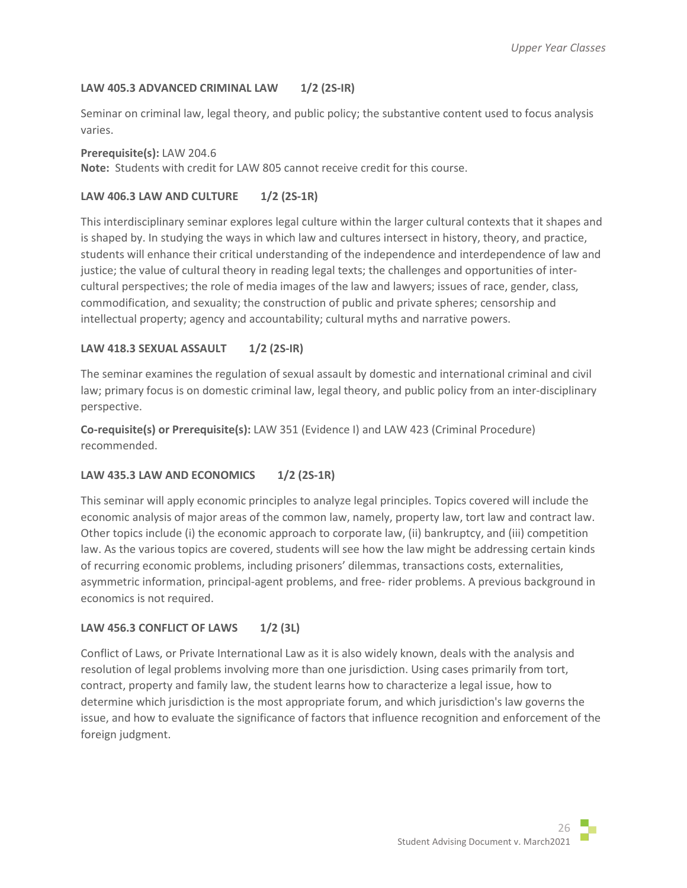## **LAW 405.3 ADVANCED CRIMINAL LAW 1/2 (2S-IR)**

Seminar on criminal law, legal theory, and public policy; the substantive content used to focus analysis varies.

#### **Prerequisite(s):** LAW 204.6

**Note:** Students with credit for LAW 805 cannot receive credit for this course.

## **LAW 406.3 LAW AND CULTURE 1/2 (2S-1R)**

This interdisciplinary seminar explores legal culture within the larger cultural contexts that it shapes and is shaped by. In studying the ways in which law and cultures intersect in history, theory, and practice, students will enhance their critical understanding of the independence and interdependence of law and justice; the value of cultural theory in reading legal texts; the challenges and opportunities of intercultural perspectives; the role of media images of the law and lawyers; issues of race, gender, class, commodification, and sexuality; the construction of public and private spheres; censorship and intellectual property; agency and accountability; cultural myths and narrative powers.

# **LAW 418.3 SEXUAL ASSAULT 1/2 (2S-IR)**

The seminar examines the regulation of sexual assault by domestic and international criminal and civil law; primary focus is on domestic criminal law, legal theory, and public policy from an inter-disciplinary perspective.

**Co-requisite(s) or Prerequisite(s):** LAW 351 (Evidence I) and LAW 423 (Criminal Procedure) recommended.

## **LAW 435.3 LAW AND ECONOMICS 1/2 (2S-1R)**

This seminar will apply economic principles to analyze legal principles. Topics covered will include the economic analysis of major areas of the common law, namely, property law, tort law and contract law. Other topics include (i) the economic approach to corporate law, (ii) bankruptcy, and (iii) competition law. As the various topics are covered, students will see how the law might be addressing certain kinds of recurring economic problems, including prisoners' dilemmas, transactions costs, externalities, asymmetric information, principal-agent problems, and free- rider problems. A previous background in economics is not required.

## **LAW 456.3 CONFLICT OF LAWS 1/2 (3L)**

Conflict of Laws, or Private International Law as it is also widely known, deals with the analysis and resolution of legal problems involving more than one jurisdiction. Using cases primarily from tort, contract, property and family law, the student learns how to characterize a legal issue, how to determine which jurisdiction is the most appropriate forum, and which jurisdiction's law governs the issue, and how to evaluate the significance of factors that influence recognition and enforcement of the foreign judgment.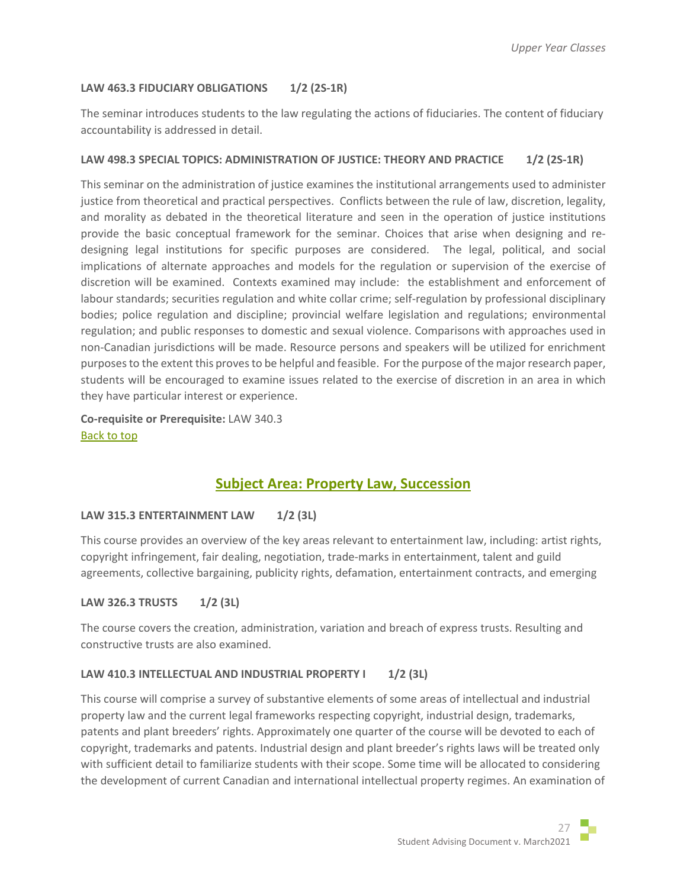# **LAW 463.3 FIDUCIARY OBLIGATIONS 1/2 (2S-1R)**

The seminar introduces students to the law regulating the actions of fiduciaries. The content of fiduciary accountability is addressed in detail.

## LAW 498.3 SPECIAL TOPICS: ADMINISTRATION OF JUSTICE: THEORY AND PRACTICE 1/2 (2S-1R)

This seminar on the administration of justice examines the institutional arrangements used to administer justice from theoretical and practical perspectives. Conflicts between the rule of law, discretion, legality, and morality as debated in the theoretical literature and seen in the operation of justice institutions provide the basic conceptual framework for the seminar. Choices that arise when designing and redesigning legal institutions for specific purposes are considered. The legal, political, and social implications of alternate approaches and models for the regulation or supervision of the exercise of discretion will be examined. Contexts examined may include: the establishment and enforcement of labour standards; securities regulation and white collar crime; self-regulation by professional disciplinary bodies; police regulation and discipline; provincial welfare legislation and regulations; environmental regulation; and public responses to domestic and sexual violence. Comparisons with approaches used in non-Canadian jurisdictions will be made. Resource persons and speakers will be utilized for enrichment purposes to the extent this proves to be helpful and feasible. For the purpose of the major research paper, students will be encouraged to examine issues related to the exercise of discretion in an area in which they have particular interest or experience.

**Co-requisite or Prerequisite:** LAW 340.3 [Back to top](#page-0-1)

# **Subject Area: Property Law, Succession**

## <span id="page-26-0"></span>**LAW 315.3 ENTERTAINMENT LAW 1/2 (3L)**

This course provides an overview of the key areas relevant to entertainment law, including: artist rights, copyright infringement, fair dealing, negotiation, trade-marks in entertainment, talent and guild agreements, collective bargaining, publicity rights, defamation, entertainment contracts, and emerging

## **LAW 326.3 TRUSTS 1/2 (3L)**

The course covers the creation, administration, variation and breach of express trusts. Resulting and constructive trusts are also examined.

# LAW 410.3 INTELLECTUAL AND INDUSTRIAL PROPERTY **| 1/2 (3L)**

This course will comprise a survey of substantive elements of some areas of intellectual and industrial property law and the current legal frameworks respecting copyright, industrial design, trademarks, patents and plant breeders' rights. Approximately one quarter of the course will be devoted to each of copyright, trademarks and patents. Industrial design and plant breeder's rights laws will be treated only with sufficient detail to familiarize students with their scope. Some time will be allocated to considering the development of current Canadian and international intellectual property regimes. An examination of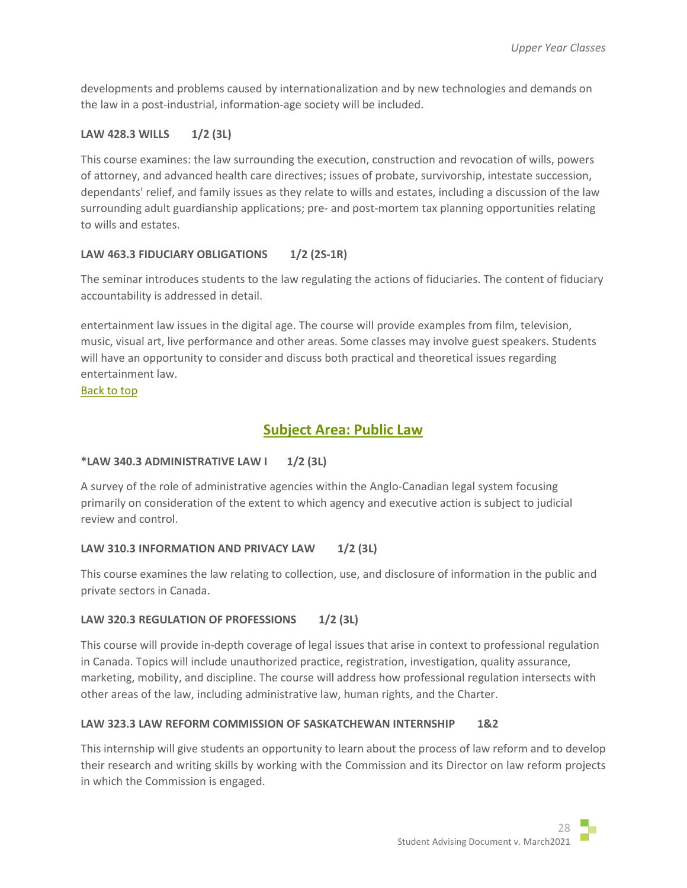developments and problems caused by internationalization and by new technologies and demands on the law in a post-industrial, information-age society will be included.

# **LAW 428.3 WILLS 1/2 (3L)**

This course examines: the law surrounding the execution, construction and revocation of wills, powers of attorney, and advanced health care directives; issues of probate, survivorship, intestate succession, dependants' relief, and family issues as they relate to wills and estates, including a discussion of the law surrounding adult guardianship applications; pre- and post-mortem tax planning opportunities relating to wills and estates.

# **LAW 463.3 FIDUCIARY OBLIGATIONS 1/2 (2S-1R)**

The seminar introduces students to the law regulating the actions of fiduciaries. The content of fiduciary accountability is addressed in detail.

entertainment law issues in the digital age. The course will provide examples from film, television, music, visual art, live performance and other areas. Some classes may involve guest speakers. Students will have an opportunity to consider and discuss both practical and theoretical issues regarding entertainment law.

<span id="page-27-0"></span>[Back to top](#page-0-1)

# **Subject Area: Public Law**

# **\*LAW 340.3 ADMINISTRATIVE LAW I 1/2 (3L)**

A survey of the role of administrative agencies within the Anglo-Canadian legal system focusing primarily on consideration of the extent to which agency and executive action is subject to judicial review and control.

# LAW 310.3 INFORMATION AND PRIVACY LAW 1/2 (3L)

This course examines the law relating to collection, use, and disclosure of information in the public and private sectors in Canada.

# LAW 320.3 REGULATION OF PROFESSIONS 1/2 (3L)

This course will provide in-depth coverage of legal issues that arise in context to professional regulation in Canada. Topics will include unauthorized practice, registration, investigation, quality assurance, marketing, mobility, and discipline. The course will address how professional regulation intersects with other areas of the law, including administrative law, human rights, and the Charter.

# **LAW 323.3 LAW REFORM COMMISSION OF SASKATCHEWAN INTERNSHIP 1&2**

This internship will give students an opportunity to learn about the process of law reform and to develop their research and writing skills by working with the Commission and its Director on law reform projects in which the Commission is engaged.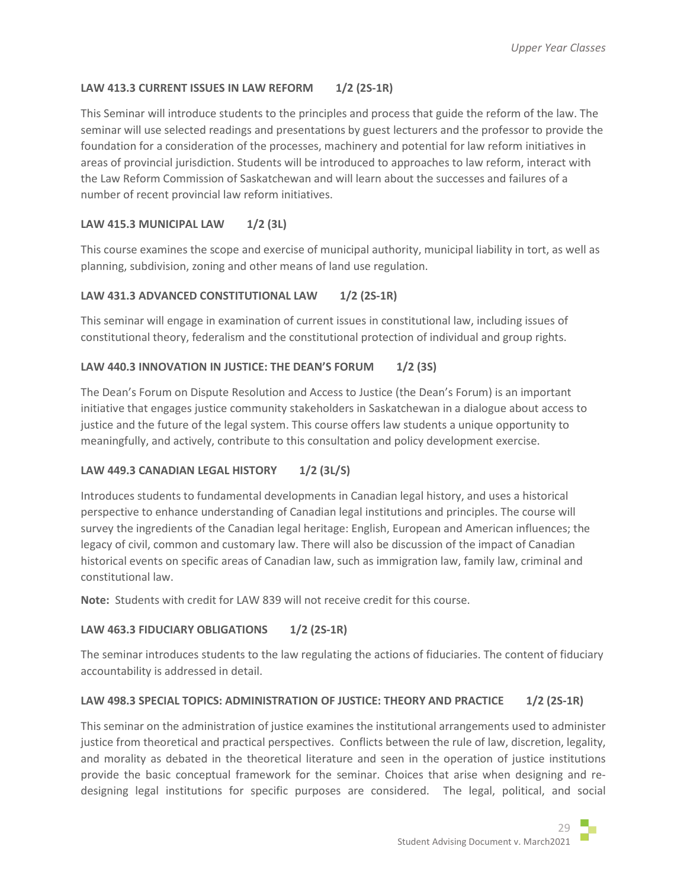# **LAW 413.3 CURRENT ISSUES IN LAW REFORM 1/2 (2S-1R)**

This Seminar will introduce students to the principles and process that guide the reform of the law. The seminar will use selected readings and presentations by guest lecturers and the professor to provide the foundation for a consideration of the processes, machinery and potential for law reform initiatives in areas of provincial jurisdiction. Students will be introduced to approaches to law reform, interact with the Law Reform Commission of Saskatchewan and will learn about the successes and failures of a number of recent provincial law reform initiatives.

# **LAW 415.3 MUNICIPAL LAW 1/2 (3L)**

This course examines the scope and exercise of municipal authority, municipal liability in tort, as well as planning, subdivision, zoning and other means of land use regulation.

# LAW 431.3 ADVANCED CONSTITUTIONAL LAW 1/2 (2S-1R)

This seminar will engage in examination of current issues in constitutional law, including issues of constitutional theory, federalism and the constitutional protection of individual and group rights.

# LAW 440.3 INNOVATION IN JUSTICE: THE DEAN'S FORUM 1/2 (3S)

The Dean's Forum on Dispute Resolution and Access to Justice (the Dean's Forum) is an important initiative that engages justice community stakeholders in Saskatchewan in a dialogue about access to justice and the future of the legal system. This course offers law students a unique opportunity to meaningfully, and actively, contribute to this consultation and policy development exercise.

# **LAW 449.3 CANADIAN LEGAL HISTORY 1/2 (3L/S)**

Introduces students to fundamental developments in Canadian legal history, and uses a historical perspective to enhance understanding of Canadian legal institutions and principles. The course will survey the ingredients of the Canadian legal heritage: English, European and American influences; the legacy of civil, common and customary law. There will also be discussion of the impact of Canadian historical events on specific areas of Canadian law, such as immigration law, family law, criminal and constitutional law.

**Note:** Students with credit for LAW 839 will not receive credit for this course.

# **LAW 463.3 FIDUCIARY OBLIGATIONS 1/2 (2S-1R)**

The seminar introduces students to the law regulating the actions of fiduciaries. The content of fiduciary accountability is addressed in detail.

# **LAW 498.3 SPECIAL TOPICS: ADMINISTRATION OF JUSTICE: THEORY AND PRACTICE 1/2 (2S-1R)**

This seminar on the administration of justice examines the institutional arrangements used to administer justice from theoretical and practical perspectives. Conflicts between the rule of law, discretion, legality, and morality as debated in the theoretical literature and seen in the operation of justice institutions provide the basic conceptual framework for the seminar. Choices that arise when designing and redesigning legal institutions for specific purposes are considered. The legal, political, and social

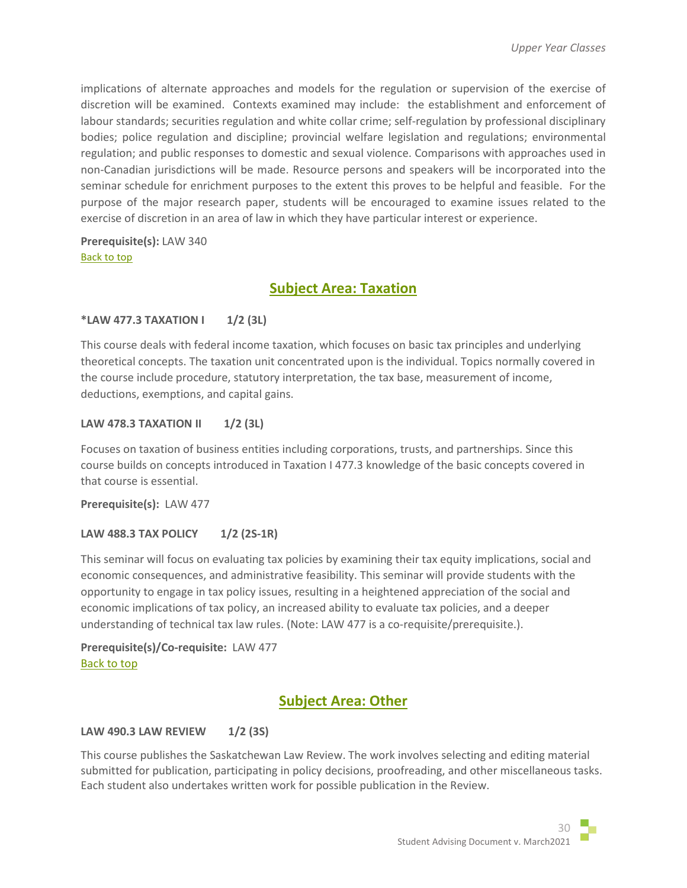implications of alternate approaches and models for the regulation or supervision of the exercise of discretion will be examined. Contexts examined may include: the establishment and enforcement of labour standards; securities regulation and white collar crime; self-regulation by professional disciplinary bodies; police regulation and discipline; provincial welfare legislation and regulations; environmental regulation; and public responses to domestic and sexual violence. Comparisons with approaches used in non-Canadian jurisdictions will be made. Resource persons and speakers will be incorporated into the seminar schedule for enrichment purposes to the extent this proves to be helpful and feasible. For the purpose of the major research paper, students will be encouraged to examine issues related to the exercise of discretion in an area of law in which they have particular interest or experience.

<span id="page-29-0"></span>**Prerequisite(s):** LAW 340 [Back to top](#page-0-1)

# **Subject Area: Taxation**

## **\*LAW 477.3 TAXATION I 1/2 (3L)**

This course deals with federal income taxation, which focuses on basic tax principles and underlying theoretical concepts. The taxation unit concentrated upon is the individual. Topics normally covered in the course include procedure, statutory interpretation, the tax base, measurement of income, deductions, exemptions, and capital gains.

## **LAW 478.3 TAXATION II** 1/2 (3L)

Focuses on taxation of business entities including corporations, trusts, and partnerships. Since this course builds on concepts introduced in Taxation I 477.3 knowledge of the basic concepts covered in that course is essential.

**Prerequisite(s):** LAW 477

## **LAW 488.3 TAX POLICY 1/2 (2S-1R)**

This seminar will focus on evaluating tax policies by examining their tax equity implications, social and economic consequences, and administrative feasibility. This seminar will provide students with the opportunity to engage in tax policy issues, resulting in a heightened appreciation of the social and economic implications of tax policy, an increased ability to evaluate tax policies, and a deeper understanding of technical tax law rules. (Note: LAW 477 is a co-requisite/prerequisite.).

<span id="page-29-1"></span>**Prerequisite(s)/Co-requisite:** LAW 477 [Back to top](#page-0-1)

# **Subject Area: Other**

## **LAW 490.3 LAW REVIEW 1/2 (3S)**

This course publishes the Saskatchewan Law Review. The work involves selecting and editing material submitted for publication, participating in policy decisions, proofreading, and other miscellaneous tasks. Each student also undertakes written work for possible publication in the Review.